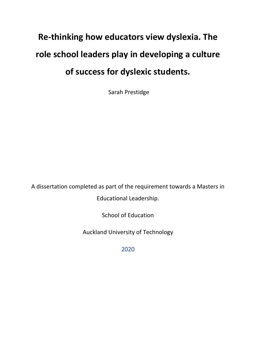# **Re-thinking how educators view dyslexia. The role school leaders play in developing a culture of success for dyslexic students.**

Sarah Prestidge

A dissertation completed as part of the requirement towards a Masters in Educational Leadership.

School of Education

<span id="page-0-0"></span>Auckland University of Technology

2020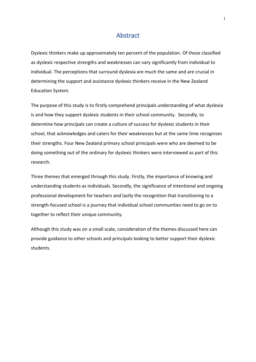## Abstract

<span id="page-1-0"></span>Dyslexic thinkers make up approximately ten percent of the population. Of those classified as dyslexic respective strengths and weaknesses can vary significantly from individual to individual. The perceptions that surround dyslexia are much the same and are crucial in determining the support and assistance dyslexic thinkers receive in the New Zealand Education System.

The purpose of this study is to firstly comprehend principals understanding of what dyslexia is and how they support dyslexic students in their school community. Secondly, to determine how principals can create a culture of success for dyslexic students in their school, that acknowledges and caters for their weaknesses but at the same time recognises their strengths. Four New Zealand primary school principals were who are deemed to be doing something out of the ordinary for dyslexic thinkers were interviewed as part of this research.

Three themes that emerged through this study. Firstly, the importance of knowing and understanding students as individuals. Secondly, the significance of intentional and ongoing professional development for teachers and lastly the recognition that transitioning to a strength-focused school is a journey that individual school communities need to go on to together to reflect their unique community.

Although this study was on a small scale, consideration of the themes discussed here can provide guidance to other schools and principals looking to better support their dyslexic students.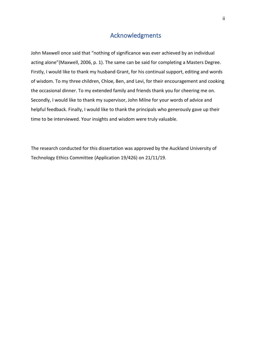## <span id="page-2-0"></span>Acknowledgments

John Maxwell once said that "nothing of significance was ever achieved by an individual acting alone"(Maxwell, 2006, p. 1). The same can be said for completing a Masters Degree. Firstly, I would like to thank my husband Grant, for his continual support, editing and words of wisdom. To my three children, Chloe, Ben, and Levi, for their encouragement and cooking the occasional dinner. To my extended family and friends thank you for cheering me on. Secondly, I would like to thank my supervisor, John Milne for your words of advice and helpful feedback. Finally, I would like to thank the principals who generously gave up their time to be interviewed. Your insights and wisdom were truly valuable.

The research conducted for this dissertation was approved by the Auckland University of Technology Ethics Committee (Application 19/426) on 21/11/19.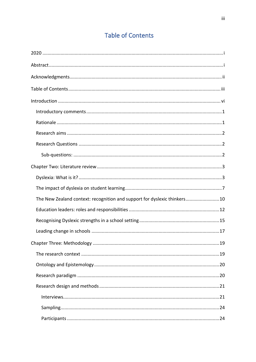# <span id="page-3-0"></span>**Table of Contents**

| The New Zealand context: recognition and support for dyslexic thinkers10 |  |
|--------------------------------------------------------------------------|--|
|                                                                          |  |
|                                                                          |  |
|                                                                          |  |
|                                                                          |  |
|                                                                          |  |
|                                                                          |  |
|                                                                          |  |
|                                                                          |  |
|                                                                          |  |
|                                                                          |  |
|                                                                          |  |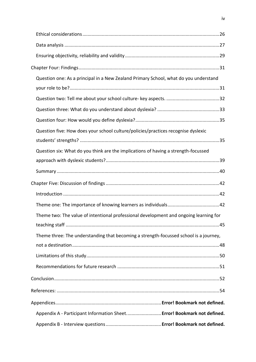| Question one: As a principal in a New Zealand Primary School, what do you understand  |  |
|---------------------------------------------------------------------------------------|--|
|                                                                                       |  |
|                                                                                       |  |
|                                                                                       |  |
|                                                                                       |  |
| Question five: How does your school culture/policies/practices recognise dyslexic     |  |
|                                                                                       |  |
| Question six: What do you think are the implications of having a strength-focussed    |  |
|                                                                                       |  |
|                                                                                       |  |
|                                                                                       |  |
|                                                                                       |  |
|                                                                                       |  |
| Theme two: The value of intentional professional development and ongoing learning for |  |
|                                                                                       |  |
| Theme three: The understanding that becoming a strength-focussed school is a journey, |  |
|                                                                                       |  |
|                                                                                       |  |
|                                                                                       |  |
|                                                                                       |  |
|                                                                                       |  |
|                                                                                       |  |
| Appendix A - Participant Information Sheet Error! Bookmark not defined.               |  |
|                                                                                       |  |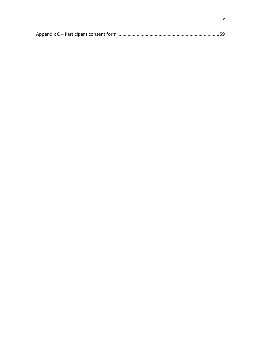|--|--|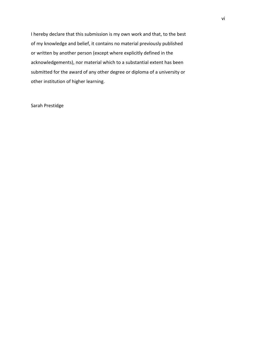<span id="page-6-0"></span>I hereby declare that this submission is my own work and that, to the best of my knowledge and belief, it contains no material previously published or written by another person (except where explicitly defined in the acknowledgements), nor material which to a substantial extent has been submitted for the award of any other degree or diploma of a university or other institution of higher learning.

#### Sarah Prestidge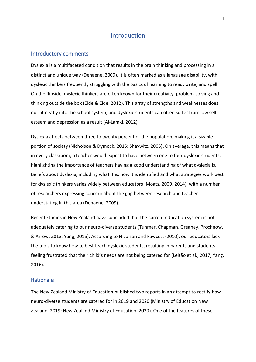## **Introduction**

#### <span id="page-7-0"></span>Introductory comments

Dyslexia is a multifaceted condition that results in the brain thinking and processing in a distinct and unique way (Dehaene, 2009). It is often marked as a language disability, with dyslexic thinkers frequently struggling with the basics of learning to read, write, and spell. On the flipside, dyslexic thinkers are often known for their creativity, problem-solving and thinking outside the box (Eide & Eide, 2012). This array of strengths and weaknesses does not fit neatly into the school system, and dyslexic students can often suffer from low selfesteem and depression as a result (Al-Lamki, 2012).

Dyslexia affects between three to twenty percent of the population, making it a sizable portion of society (Nicholson & Dymock, 2015; Shaywitz, 2005). On average, this means that in every classroom, a teacher would expect to have between one to four dyslexic students, highlighting the importance of teachers having a good understanding of what dyslexia is. Beliefs about dyslexia, including what it is, how it is identified and what strategies work best for dyslexic thinkers varies widely between educators (Moats, 2009, 2014); with a number of researchers expressing concern about the gap between research and teacher understating in this area (Dehaene, 2009).

Recent studies in New Zealand have concluded that the current education system is not adequately catering to our neuro-diverse students (Tunmer, Chapman, Greaney, Prochnow, & Arrow, 2013; Yang, 2016). According to Nicolson and Fawcett (2010), our educators lack the tools to know how to best teach dyslexic students, resulting in parents and students feeling frustrated that their child's needs are not being catered for (Leitão et al., 2017; Yang, 2016).

#### <span id="page-7-1"></span>Rationale

The New Zealand Ministry of Education published two reports in an attempt to rectify how neuro-diverse students are catered for in 2019 and 2020 (Ministry of Education New Zealand, 2019; New Zealand Ministry of Education, 2020). One of the features of these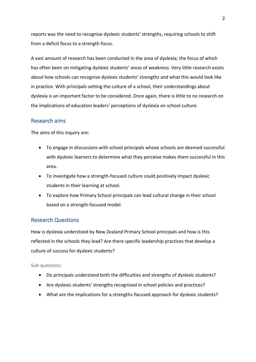reports was the need to recognise dyslexic students' strengths, requiring schools to shift from a deficit focus to a strength focus.

A vast amount of research has been conducted in the area of dyslexia; the focus of which has often been on mitigating dyslexic students' areas of weakness. Very little research exists about how schools can recognise dyslexic students' strengths and what this would look like in practice. With principals setting the culture of a school, their understandings about dyslexia is an important factor to be considered. Once again, there is little to no research on the implications of education leaders' perceptions of dyslexia on school culture.

## <span id="page-8-0"></span>Research aims

The aims of this inquiry are:

- To engage in discussions with school principals whose schools are deemed successful with dyslexic learners to determine what they perceive makes them successful in this area.
- To investigate how a strength-focused culture could positively impact dyslexic students in their learning at school.
- To explore how Primary School principals can lead cultural change in their school based on a strength-focused model.

## <span id="page-8-1"></span>Research Questions

How is dyslexia understood by New Zealand Primary School principals and how is this reflected in the schools they lead? Are there specific leadership practices that develop a culture of success for dyslexic students?

#### <span id="page-8-2"></span>Sub-questions:

- Do principals understand both the difficulties and strengths of dyslexic students?
- Are dyslexic students' strengths recognised in school policies and practices?
- What are the implications for a strengths-focused approach for dyslexic students?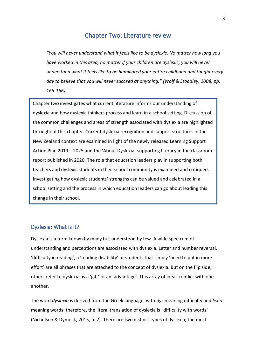## Chapter Two: Literature review

<span id="page-9-0"></span>*"You will never understand what it feels like to be dyslexic. No matter how long you have worked in this area, no matter if your children are dyslexic, you will never understand what it feels like to be humiliated your entire childhood and taught every day to believe that you will never succeed at anything." (Wolf & Stoodley, 2008, pp. 165-166)*

 school setting and the process in which education leaders can go about leading this Chapter two investigates what current literature informs our understanding of dyslexia and how dyslexic thinkers process and learn in a school setting. Discussion of the common challenges and areas of strength associated with dyslexia are highlighted throughout this chapter. Current dyslexia recognition and support structures in the New Zealand context are examined in light of the newly released Learning Support Action Plan 2019 – 2025 and the 'About Dyslexia- supporting literacy in the classroom report published in 2020. The role that education leaders play in supporting both teachers and dyslexic students in their school community is examined and critiqued. Investigating how dyslexic students' strengths can be valued and celebrated in a change in their school.

#### <span id="page-9-1"></span>Dyslexia: What is it?

L

Dyslexia is a term known by many but understood by few. A wide spectrum of understanding and perceptions are associated with dyslexia. Letter and number reversal, 'difficulty in reading', a 'reading disability' or students that simply 'need to put in more effort' are all phrases that are attached to the concept of dyslexia. But on the flip side, others refer to dyslexia as a 'gift' or an 'advantage'. This array of ideas conflict with one another.

The word *dyslexia* is derived from the Greek language, with *dys* meaning difficulty and *lexia* meaning words; therefore, the literal translation of dyslexia is "difficulty with words" (Nicholson & Dymock, 2015, p. 2). There are two distinct types of dyslexia; the most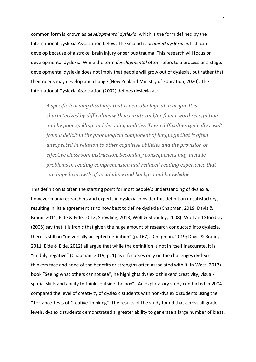common form is known as *developmental dyslexia*, which is the form defined by the International Dyslexia Association below. The second is *acquired dyslexia*, which can develop because of a stroke, brain injury or serious trauma. This research will focus on developmental dyslexia. While the term *developmental* often refers to a process or a stage, developmental dyslexia does not imply that people will grow out of dyslexia, but rather that their needs may develop and change (New Zealand Ministry of Education, 2020). The International Dyslexia Association (2002) defines dyslexia as:

*A specific learning disability that is neurobiological in origin. It is characterized by difficulties with accurate and/or fluent word recognition and by poor spelling and decoding abilities. These difficulties typically result from a deficit in the phonological component of language that is often unexpected in relation to other cognitive abilities and the provision of effective classroom instruction. Secondary consequences may include problems in reading comprehension and reduced reading experience that can impede growth of vocabulary and background knowledge.* 

This definition is often the starting point for most people's understanding of dyslexia, however many researchers and experts in dyslexia consider this definition unsatisfactory, resulting in little agreement as to how best to define dyslexia (Chapman, 2019; Davis & Braun, 2011; Eide & Eide, 2012; Snowling, 2013; Wolf & Stoodley, 2008). Wolf and Stoodley (2008) say that it is ironic that given the huge amount of research conducted into dyslexia, there is still no "universally accepted definition" (p. 167). (Chapman, 2019; Davis & Braun, 2011; Eide & Eide, 2012) all argue that while the definition is not in itself inaccurate, it is "unduly negative" (Chapman, 2019, p. 1) as it focusses only on the challenges dyslexic thinkers face and none of the benefits or strengths often associated with it. In West (2017) book "Seeing what others cannot see", he highlights dyslexic thinkers' creativity, visualspatial skills and ability to think "outside the box". An exploratory study conducted in 2004 compared the level of creativity of dyslexic students with non-dyslexic students using the "Torrance Tests of Creative Thinking". The results of the study found that across all grade levels, dyslexic students demonstrated a greater ability to generate a large number of ideas,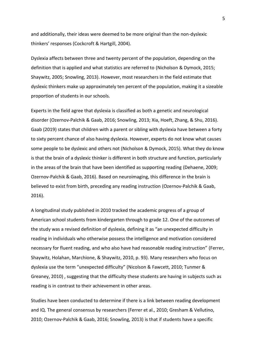and additionally, their ideas were deemed to be more original than the non-dyslexic thinkers' responses (Cockcroft & Hartgill, 2004).

Dyslexia affects between three and twenty percent of the population, depending on the definition that is applied and what statistics are referred to (Nicholson & Dymock, 2015; Shaywitz, 2005; Snowling, 2013). However, most researchers in the field estimate that dyslexic thinkers make up approximately ten percent of the population, making it a sizeable proportion of students in our schools.

Experts in the field agree that dyslexia is classified as both a genetic and neurological disorder (Ozernov‐Palchik & Gaab, 2016; Snowling, 2013; Xia, Hoeft, Zhang, & Shu, 2016). Gaab (2019) states that children with a parent or sibling with dyslexia have between a forty to sixty percent chance of also having dyslexia. However, experts do not know what causes some people to be dyslexic and others not (Nicholson & Dymock, 2015). What they do know is that the brain of a dyslexic thinker is different in both structure and function, particularly in the areas of the brain that have been identified as supporting reading (Dehaene, 2009; Ozernov‐Palchik & Gaab, 2016). Based on neuroimaging, this difference in the brain is believed to exist from birth, preceding any reading instruction (Ozernov‐Palchik & Gaab, 2016).

A longitudinal study published in 2010 tracked the academic progress of a group of American school students from kindergarten through to grade 12. One of the outcomes of the study was a revised definition of dyslexia, defining it as "an unexpected difficulty in reading in individuals who otherwise possess the intelligence and motivation considered necessary for fluent reading, and who also have had reasonable reading instruction" (Ferrer, Shaywitz, Holahan, Marchione, & Shaywitz, 2010, p. 93). Many researchers who focus on dyslexia use the term "unexpected difficulty" (Nicolson & Fawcett, 2010; Tunmer & Greaney, 2010) , suggesting that the difficulty these students are having in subjects such as reading is in contrast to their achievement in other areas.

Studies have been conducted to determine if there is a link between reading development and IQ. The general consensus by researchers (Ferrer et al., 2010; Gresham & Vellutino, 2010; Ozernov‐Palchik & Gaab, 2016; Snowling, 2013) is that if students have a specific

5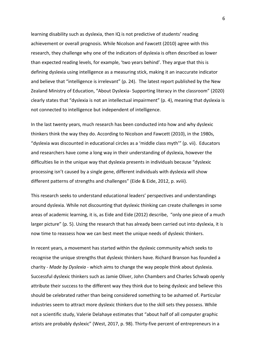learning disability such as dyslexia, then IQ is not predictive of students' reading achievement or overall prognosis. While Nicolson and Fawcett (2010) agree with this research, they challenge why one of the indicators of dyslexia is often described as lower than expected reading levels, for example, 'two years behind'. They argue that this is defining dyslexia using intelligence as a measuring stick, making it an inaccurate indicator and believe that "intelligence is irrelevant" (p. 24). The latest report published by the New Zealand Ministry of Education, "About Dyslexia- Supporting literacy in the classroom" (2020) clearly states that "dyslexia is not an intellectual impairment" (p. 4), meaning that dyslexia is not connected to intelligence but independent of intelligence.

In the last twenty years, much research has been conducted into how and why dyslexic thinkers think the way they do. According to Nicolson and Fawcett (2010), in the 1980s, "dyslexia was discounted in educational circles as a 'middle class myth'" (p. vii). Educators and researchers have come a long way in their understanding of dyslexia, however the difficulties lie in the unique way that dyslexia presents in individuals because "dyslexic processing isn't caused by a single gene, different individuals with dyslexia will show different patterns of strengths and challenges" (Eide & Eide, 2012, p. xviii).

This research seeks to understand educational leaders' perspectives and understandings around dyslexia. While not discounting that dyslexic thinking can create challenges in some areas of academic learning, it is, as Eide and Eide (2012) describe, "only one piece of a much larger picture" (p. 5). Using the research that has already been carried out into dyslexia, it is now time to reassess how we can best meet the unique needs of dyslexic thinkers.

In recent years, a movement has started within the dyslexic community which seeks to recognise the unique strengths that dyslexic thinkers have. Richard Branson has founded a charity - *Made by Dyslexia* - which aims to change the way people think about dyslexia. Successful dyslexic thinkers such as Jamie Oliver, John Chambers and Charles Schwab openly attribute their success to the different way they think due to being dyslexic and believe this should be celebrated rather than being considered something to be ashamed of. Particular industries seem to attract more dyslexic thinkers due to the skill sets they possess. While not a scientific study, Valerie Delahaye estimates that "about half of all computer graphic artists are probably dyslexic" (West, 2017, p. 98). Thirty-five percent of entrepreneurs in a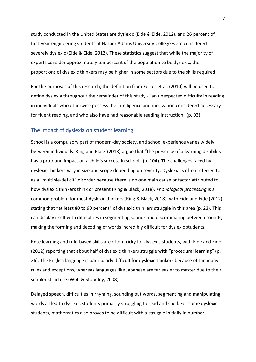study conducted in the United States are dyslexic (Eide & Eide, 2012), and 26 percent of first-year engineering students at Harper Adams University College were considered severely dyslexic (Eide & Eide, 2012). These statistics suggest that while the majority of experts consider approximately ten percent of the population to be dyslexic, the proportions of dyslexic thinkers may be higher in some sectors due to the skills required.

For the purposes of this research, the definition from Ferrer et al. (2010) will be used to define dyslexia throughout the remainder of this study - "an unexpected difficulty in reading in individuals who otherwise possess the intelligence and motivation considered necessary for fluent reading, and who also have had reasonable reading instruction" (p. 93).

#### <span id="page-13-0"></span>The impact of dyslexia on student learning

School is a compulsory part of modern-day society, and school experience varies widely between individuals. Ring and Black (2018) argue that "the presence of a learning disability has a profound impact on a child's success in school" (p. 104). The challenges faced by dyslexic thinkers vary in size and scope depending on severity. Dyslexia is often referred to as a "multiple-deficit" disorder because there is no one main cause or factor attributed to how dyslexic thinkers think or present (Ring & Black, 2018). *Phonological processing* is a common problem for most dyslexic thinkers (Ring & Black, 2018), with Eide and Eide (2012) stating that "at least 80 to 90 percent" of dyslexic thinkers struggle in this area (p. 23). This can display itself with difficulties in segmenting sounds and discriminating between sounds, making the forming and decoding of words incredibly difficult for dyslexic students.

Rote learning and rule-based skills are often tricky for dyslexic students, with Eide and Eide (2012) reporting that about half of dyslexic thinkers struggle with "procedural learning" (p. 26). The English language is particularly difficult for dyslexic thinkers because of the many rules and exceptions, whereas languages like Japanese are far easier to master due to their simpler structure (Wolf & Stoodley, 2008).

Delayed speech, difficulties in rhyming, sounding out words, segmenting and manipulating words all led to dyslexic students primarily struggling to read and spell. For some dyslexic students, mathematics also proves to be difficult with a struggle initially in number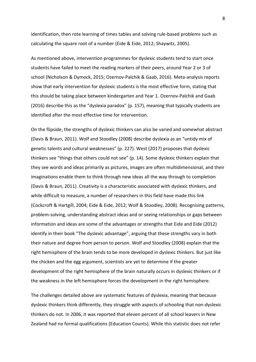identification, then rote learning of times tables and solving rule-based problems such as calculating the square root of a number (Eide & Eide, 2012; Shaywitz, 2005).

As mentioned above, intervention programmes for dyslexic students tend to start once students have failed to meet the reading markers of their peers, around Year 2 or 3 of school (Nicholson & Dymock, 2015; Ozernov‐Palchik & Gaab, 2016). Meta-analysis reports show that early intervention for dyslexic students is the most effective form, stating that this should be taking place between kindergarten and Year 1. Ozernov‐Palchik and Gaab (2016) describe this as the "dyslexia paradox" (p. 157), meaning that typically students are identified after the most effective time for intervention.

On the flipside, the strengths of dyslexic thinkers can also be varied and somewhat abstract (Davis & Braun, 2011). Wolf and Stoodley (2008) describe dyslexia as an "untidy mix of genetic talents and cultural weaknesses" (p. 227). West (2017) proposes that dyslexic thinkers see "things that others could not see" (p. 14). Some dyslexic thinkers explain that they see words and ideas primarily as pictures, images are often multidimensional, and their imaginations enable them to think through new ideas all the way through to completion (Davis & Braun, 2011). Creativity is a characteristic associated with dyslexic thinkers, and while difficult to measure, a number of researchers in this field have made this link (Cockcroft & Hartgill, 2004; Eide & Eide, 2012; Wolf & Stoodley, 2008). Recognising patterns, problem-solving, understanding abstract ideas and or seeing relationships or gaps between information and ideas are some of the advantages or strengths that Eide and Eide (2012) identify in their book "The dyslexic advantage", arguing that these strengths vary in both their nature and degree from person to person. Wolf and Stoodley (2008) explain that the right hemisphere of the brain tends to be more developed in dyslexic thinkers. But just like the chicken and the egg argument, scientists are yet to determine if the greater development of the right hemisphere of the brain naturally occurs in dyslexic thinkers or if the weakness in the left hemisphere forces the development in the right hemisphere.

The challenges detailed above are systematic features of dyslexia, meaning that because dyslexic thinkers think differently, they struggle with aspects of schooling that non-dyslexic thinkers do not. In 2006, it was reported that eleven percent of all school leavers in New Zealand had no formal qualifications (Education Counts). While this statistic does not refer

8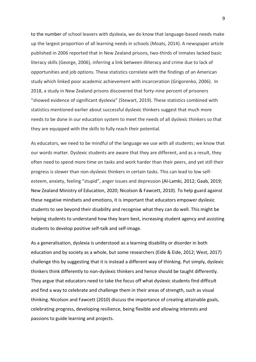to the number of school leavers with dyslexia, we do know that language-based needs make up the largest proportion of all learning needs in schools (Moats, 2014). A newspaper article published in 2006 reported that in New Zealand prisons, two-thirds of inmates lacked basic literacy skills (George, 2006), inferring a link between illiteracy and crime due to lack of opportunities and job options. These statistics correlate with the findings of an American study which linked poor academic achievement with incarceration (Grigorenko, 2006). In 2018, a study in New Zealand prisons discovered that forty-nine percent of prisoners "showed evidence of significant dyslexia" (Stewart, 2019). These statistics combined with statistics mentioned earlier about successful dyslexic thinkers suggest that much more needs to be done in our education system to meet the needs of all dyslexic thinkers so that they are equipped with the skills to fully reach their potential.

As educators, we need to be mindful of the language we use with all students; we know that our words matter. Dyslexic students are aware that they are different, and as a result, they often need to spend more time on tasks and work harder than their peers, and yet still their progress is slower than non-dyslexic thinkers in certain tasks. This can lead to low selfesteem, anxiety, feeling "stupid", anger issues and depression (Al-Lamki, 2012; Gaab, 2019; New Zealand Ministry of Education, 2020; Nicolson & Fawcett, 2010). To help guard against these negative mindsets and emotions, it is important that educators empower dyslexic students to see beyond their disability and recognise what they can do well. This might be helping students to understand how they learn best, increasing student agency and assisting students to develop positive self-talk and self-image.

As a generalisation, dyslexia is understood as a learning disability or disorder in both education and by society as a whole, but some researchers (Eide & Eide, 2012; West, 2017) challenge this by suggesting that it is instead a different way of thinking. Put simply, dyslexic thinkers think differently to non-dyslexic thinkers and hence should be taught differently. They argue that educators need to take the focus off what dyslexic students find difficult and find a way to celebrate and challenge them in their areas of strength, such as visual thinking. Nicolson and Fawcett (2010) discuss the importance of creating attainable goals, celebrating progress, developing resilience, being flexible and allowing interests and passions to guide learning and projects.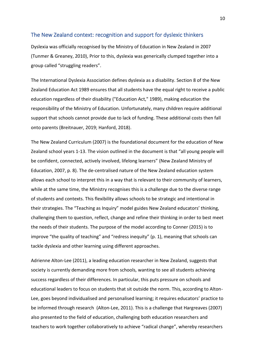#### <span id="page-16-0"></span>The New Zealand context: recognition and support for dyslexic thinkers

Dyslexia was officially recognised by the Ministry of Education in New Zealand in 2007 (Tunmer & Greaney, 2010), Prior to this, dyslexia was generically clumped together into a group called "struggling readers".

The International Dyslexia Association defines dyslexia as a disability. Section 8 of the New Zealand Education Act 1989 ensures that all students have the equal right to receive a public education regardless of their disability ("Education Act," 1989), making education the responsibility of the Ministry of Education. Unfortunately, many children require additional support that schools cannot provide due to lack of funding. These additional costs then fall onto parents (Breitnauer, 2019; Hanford, 2018).

The New Zealand Curriculum (2007) is the foundational document for the education of New Zealand school years 1-13. The vision outlined in the document is that "all young people will be confident, connected, actively involved, lifelong learners" (New Zealand Ministry of Education, 2007, p. 8). The de-centralised nature of the New Zealand education system allows each school to interpret this in a way that is relevant to their community of learners, while at the same time, the Ministry recognises this is a challenge due to the diverse range of students and contexts. This flexibility allows schools to be strategic and intentional in their strategies. The "Teaching as Inquiry" model guides New Zealand educators' thinking, challenging them to question, reflect, change and refine their thinking in order to best meet the needs of their students. The purpose of the model according to Conner (2015) is to improve "the quality of teaching" and "redress inequity" (p. 1), meaning that schools can tackle dyslexia and other learning using different approaches.

Adrienne Alton-Lee (2011), a leading education researcher in New Zealand, suggests that society is currently demanding more from schools, wanting to see all students achieving success regardless of their differences. In particular, this puts pressure on schools and educational leaders to focus on students that sit outside the norm. This, according to Alton-Lee, goes beyond individualised and personalised learning; it requires educators' practice to be informed through research (Alton-Lee, 2011). This is a challenge that Hargreaves (2007) also presented to the field of education, challenging both education researchers and teachers to work together collaboratively to achieve "radical change", whereby researchers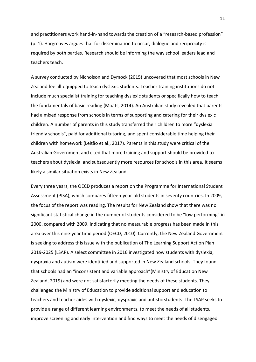and practitioners work hand-in-hand towards the creation of a "research-based profession" (p. 1). Hargreaves argues that for dissemination to occur, dialogue and reciprocity is required by both parties. Research should be informing the way school leaders lead and teachers teach.

A survey conducted by Nicholson and Dymock (2015) uncovered that most schools in New Zealand feel ill-equipped to teach dyslexic students. Teacher training institutions do not include much specialist training for teaching dyslexic students or specifically how to teach the fundamentals of basic reading (Moats, 2014). An Australian study revealed that parents had a mixed response from schools in terms of supporting and catering for their dyslexic children. A number of parents in this study transferred their children to more "dyslexia friendly schools", paid for additional tutoring, and spent considerable time helping their children with homework (Leitão et al., 2017). Parents in this study were critical of the Australian Government and cited that more training and support should be provided to teachers about dyslexia, and subsequently more resources for schools in this area. It seems likely a similar situation exists in New Zealand.

Every three years, the OECD produces a report on the Programme for International Student Assessment (PISA), which compares fifteen-year-old students in seventy countries. In 2009, the focus of the report was reading. The results for New Zealand show that there was no significant statistical change in the number of students considered to be "low performing" in 2000, compared with 2009, indicating that no measurable progress has been made in this area over this nine-year time period (OECD, 2010). Currently, the New Zealand Government is seeking to address this issue with the publication of The Learning Support Action Plan 2019-2025 (LSAP). A select committee in 2016 investigated how students with dyslexia, dyspraxia and autism were identified and supported in New Zealand schools. They found that schools had an "inconsistent and variable approach"(Ministry of Education New Zealand, 2019) and were not satisfactorily meeting the needs of these students. They challenged the Ministry of Education to provide additional support and education to teachers and teacher aides with dyslexic, dyspraxic and autistic students. The LSAP seeks to provide a range of different learning environments, to meet the needs of all students, improve screening and early intervention and find ways to meet the needs of disengaged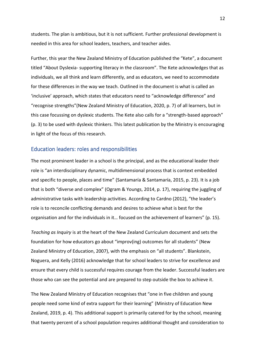students. The plan is ambitious, but it is not sufficient. Further professional development is needed in this area for school leaders, teachers, and teacher aides.

Further, this year the New Zealand Ministry of Education published the "Kete", a document titled "About Dyslexia- supporting literacy in the classroom". The Kete acknowledges that as individuals, we all think and learn differently, and as educators, we need to accommodate for these differences in the way we teach. Outlined in the document is what is called an 'inclusive' approach, which states that educators need to "acknowledge difference" and "recognise strengths"(New Zealand Ministry of Education, 2020, p. 7) of all learners, but in this case focussing on dyslexic students. The Kete also calls for a "strength-based approach" (p. 3) to be used with dyslexic thinkers. This latest publication by the Ministry is encouraging in light of the focus of this research.

#### <span id="page-18-0"></span>Education leaders: roles and responsibilities

The most prominent leader in a school is the principal, and as the educational leader their role is "an interdisciplinary dynamic, multidimensional process that is context embedded and specific to people, places and time" (Santamaría & Santamaría, 2015, p. 23). It is a job that is both "diverse and complex" (Ogram & Youngs, 2014, p. 17), requiring the juggling of administrative tasks with leadership activities. According to Cardno (2012), "the leader's role is to reconcile conflicting demands and desires to achieve what is best for the organisation and for the individuals in it… focused on the achievement of learners" (p. 15).

*Teaching as Inquiry* is at the heart of the New Zealand Curriculum document and sets the foundation for how educators go about "improv(ing) outcomes for all students" (New Zealand Ministry of Education, 2007), with the emphasis on "all students". Blankstein, Noguera, and Kelly (2016) acknowledge that for school leaders to strive for excellence and ensure that every child is successful requires courage from the leader. Successful leaders are those who can see the potential and are prepared to step outside the box to achieve it.

The New Zealand Ministry of Education recognises that "one in five children and young people need some kind of extra support for their learning" (Ministry of Education New Zealand, 2019, p. 4). This additional support is primarily catered for by the school, meaning that twenty percent of a school population requires additional thought and consideration to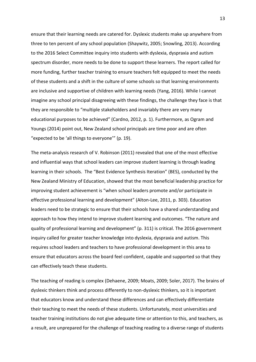ensure that their learning needs are catered for. Dyslexic students make up anywhere from three to ten percent of any school population (Shaywitz, 2005; Snowling, 2013). According to the 2016 Select Committee inquiry into students with dyslexia, dyspraxia and autism spectrum disorder, more needs to be done to support these learners. The report called for more funding, further teacher training to ensure teachers felt equipped to meet the needs of these students and a shift in the culture of some schools so that learning environments are inclusive and supportive of children with learning needs (Yang, 2016). While I cannot imagine any school principal disagreeing with these findings, the challenge they face is that they are responsible to "multiple stakeholders and invariably there are very many educational purposes to be achieved" (Cardno, 2012, p. 1). Furthermore, as Ogram and Youngs (2014) point out, New Zealand school principals are time poor and are often "expected to be 'all things to everyone'" (p. 19).

The meta-analysis research of V. Robinson (2011) revealed that one of the most effective and influential ways that school leaders can improve student learning is through leading learning in their schools. The "Best Evidence Synthesis Iteration" (BES), conducted by the New Zealand Ministry of Education, showed that the most beneficial leadership practice for improving student achievement is "when school leaders promote and/or participate in effective professional learning and development" (Alton-Lee, 2011, p. 303). Education leaders need to be strategic to ensure that their schools have a shared understanding and approach to how they intend to improve student learning and outcomes. "The nature and quality of professional learning and development" (p. 311) is critical. The 2016 government inquiry called for greater teacher knowledge into dyslexia, dyspraxia and autism. This requires school leaders and teachers to have professional development in this area to ensure that educators across the board feel confident, capable and supported so that they can effectively teach these students.

The teaching of reading is complex (Dehaene, 2009; Moats, 2009; Soler, 2017). The brains of dyslexic thinkers think and process differently to non-dyslexic thinkers, so it is important that educators know and understand these differences and can effectively differentiate their teaching to meet the needs of these students. Unfortunately, most universities and teacher training institutions do not give adequate time or attention to this, and teachers, as a result, are unprepared for the challenge of teaching reading to a diverse range of students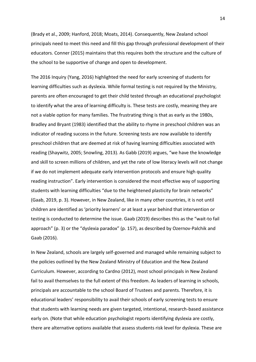(Brady et al., 2009; Hanford, 2018; Moats, 2014). Consequently, New Zealand school principals need to meet this need and fill this gap through professional development of their educators. Conner (2015) maintains that this requires both the structure and the culture of the school to be supportive of change and open to development.

The 2016 Inquiry (Yang, 2016) highlighted the need for early screening of students for learning difficulties such as dyslexia. While formal testing is not required by the Ministry, parents are often encouraged to get their child tested through an educational psychologist to identify what the area of learning difficulty is. These tests are costly, meaning they are not a viable option for many families. The frustrating thing is that as early as the 1980s, Bradley and Bryant (1983) identified that the ability to rhyme in preschool children was an indicator of reading success in the future. Screening tests are now available to identify preschool children that are deemed at risk of having learning difficulties associated with reading (Shaywitz, 2005; Snowling, 2013). As Gabb (2019) argues, "we have the knowledge and skill to screen millions of children, and yet the rate of low literacy levels will not change if we do not implement adequate early intervention protocols and ensure high quality reading instruction". Early intervention is considered the most effective way of supporting students with learning difficulties "due to the heightened plasticity for brain networks" (Gaab, 2019, p. 3). However, in New Zealand, like in many other countries, it is not until children are identified as 'priority learners' or at least a year behind that intervention or testing is conducted to determine the issue. Gaab (2019) describes this as the "wait-to fail approach" (p. 3) or the "dyslexia paradox" (p. 157), as described by Ozernov‐Palchik and Gaab (2016).

In New Zealand, schools are largely self-governed and managed while remaining subject to the policies outlined by the New Zealand Ministry of Education and the New Zealand Curriculum. However, according to Cardno (2012), most school principals in New Zealand fail to avail themselves to the full extent of this freedom. As leaders of learning in schools, principals are accountable to the school Board of Trustees and parents. Therefore, it is educational leaders' responsibility to avail their schools of early screening tests to ensure that students with learning needs are given targeted, intentional, research-based assistance early on. (Note that while education psychologist reports identifying dyslexia are costly, there are alternative options available that assess students risk level for dyslexia. These are

14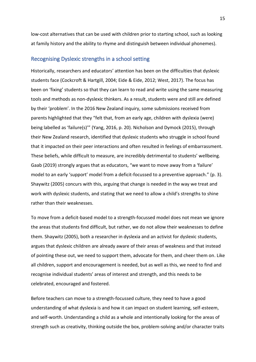low-cost alternatives that can be used with children prior to starting school, such as looking at family history and the ability to rhyme and distinguish between individual phonemes).

#### <span id="page-21-0"></span>Recognising Dyslexic strengths in a school setting

Historically, researchers and educators' attention has been on the difficulties that dyslexic students face (Cockcroft & Hartgill, 2004; Eide & Eide, 2012; West, 2017). The focus has been on 'fixing' students so that they can learn to read and write using the same measuring tools and methods as non-dyslexic thinkers. As a result, students were and still are defined by their 'problem'. In the 2016 New Zealand inquiry, some submissions received from parents highlighted that they "felt that, from an early age, children with dyslexia (were) being labelled as 'failure(s)'" (Yang, 2016, p. 20). Nicholson and Dymock (2015), through their New Zealand research, identified that dyslexic students who struggle in school found that it impacted on their peer interactions and often resulted in feelings of embarrassment. These beliefs, while difficult to measure, are incredibly detrimental to students' wellbeing. Gaab (2019) strongly argues that as educators, "we want to move away from a 'failure' model to an early 'support' model from a deficit-focussed to a preventive approach." (p. 3). Shaywitz (2005) concurs with this, arguing that change is needed in the way we treat and work with dyslexic students, and stating that we need to allow a child's strengths to shine rather than their weaknesses.

To move from a deficit-based model to a strength-focussed model does not mean we ignore the areas that students find difficult, but rather, we do not allow their weaknesses to define them. Shaywitz (2005), both a researcher in dyslexia and an activist for dyslexic students, argues that dyslexic children are already aware of their areas of weakness and that instead of pointing these out, we need to support them, advocate for them, and cheer them on. Like all children, support and encouragement is needed, but as well as this, we need to find and recognise individual students' areas of interest and strength, and this needs to be celebrated, encouraged and fostered.

Before teachers can move to a strength-focussed culture, they need to have a good understanding of what dyslexia is and how it can impact on student learning, self-esteem, and self-worth. Understanding a child as a whole and intentionally looking for the areas of strength such as creativity, thinking outside the box, problem-solving and/or character traits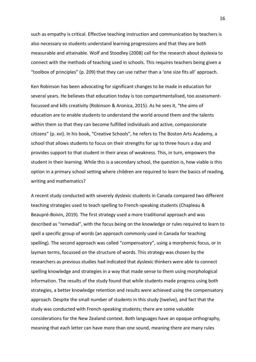such as empathy is critical. Effective teaching instruction and communication by teachers is also necessary so students understand learning progressions and that they are both measurable and attainable. Wolf and Stoodley (2008) call for the research about dyslexia to connect with the methods of teaching used in schools. This requires teachers being given a "toolbox of principles" (p. 209) that they can use rather than a 'one size fits all' approach.

Ken Robinson has been advocating for significant changes to be made in education for several years. He believes that education today is too compartmentalised, too assessmentfocussed and kills creativity (Robinson & Aronica, 2015). As he sees it, "the aims of education are to enable students to understand the world around them and the talents within them so that they can become fulfilled individuals and active, compassionate citizens" (p. xvi). In his book, "Creative Schools", he refers to The Boston Arts Academy, a school that allows students to focus on their strengths for up to three hours a day and provides support to that student in their areas of weakness. This, in turn, empowers the student in their learning. While this is a secondary school, the question is, how viable is this option in a primary school setting where children are required to learn the basics of reading, writing and mathematics?

A recent study conducted with severely dyslexic students in Canada compared two different teaching strategies used to teach spelling to French-speaking students (Chapleau & Beaupré-Boivin, 2019). The first strategy used a more traditional approach and was described as "remedial", with the focus being on the knowledge or rules required to learn to spell a specific group of words (an approach commonly used in Canada for teaching spelling). The second approach was called "compensatory", using a morphemic focus, or in layman terms, focussed on the structure of words. This strategy was chosen by the researchers as previous studies had indicated that dyslexic thinkers were able to connect spelling knowledge and strategies in a way that made sense to them using morphological information. The results of the study found that while students made progress using both strategies, a better knowledge retention and results were achieved using the compensatory approach. Despite the small number of students in this study (twelve), and fact that the study was conducted with French-speaking students; there are some valuable considerations for the New Zealand context. Both languages have an opaque orthography, meaning that each letter can have more than one sound, meaning there are many rules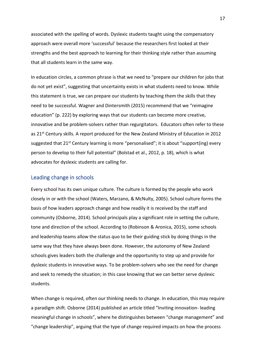associated with the spelling of words. Dyslexic students taught using the compensatory approach were overall more 'successful' because the researchers first looked at their strengths and the best approach to learning for their thinking style rather than assuming that all students learn in the same way.

In education circles, a common phrase is that we need to "prepare our children for jobs that do not yet exist", suggesting that uncertainty exists in what students need to know. While this statement is true, we can prepare our students by teaching them the skills that they need to be successful. Wagner and Dintersmith (2015) recommend that we "reimagine education" (p. 222) by exploring ways that our students can become more creative, innovative and be problem-solvers rather than regurgitators. Educators often refer to these as  $21^{st}$  Century skills. A report produced for the New Zealand Ministry of Education in 2012 suggested that 21<sup>st</sup> Century learning is more "personalised"; it is about "support(ing) every person to develop to their full potential" (Bolstad et al., 2012, p. 18), which is what advocates for dyslexic students are calling for.

#### <span id="page-23-0"></span>Leading change in schools

Every school has its own unique culture. The culture is formed by the people who work closely in or with the school (Waters, Marzano, & McNulty, 2005). School culture forms the basis of how leaders approach change and how readily it is received by the staff and community (Osborne, 2014). School principals play a significant role in setting the culture, tone and direction of the school. According to (Robinson & Aronica, 2015), some schools and leadership teams allow the status quo to be their guiding stick by doing things in the same way that they have always been done. However, the autonomy of New Zealand schools gives leaders both the challenge and the opportunity to step up and provide for dyslexic students in innovative ways. To be problem-solvers who see the need for change and seek to remedy the situation; in this case knowing that we can better serve dyslexic students.

When change is required, often our thinking needs to change. In education, this may require a paradigm shift. Osborne (2014) published an article titled "Inviting innovation- leading meaningful change in schools", where he distinguishes between "change management" and "change leadership", arguing that the type of change required impacts on how the process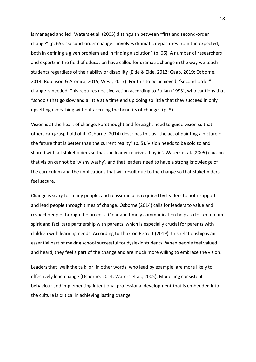is managed and led. Waters et al. (2005) distinguish between "first and second-order change" (p. 65). "Second-order change… involves dramatic departures from the expected, both in defining a given problem and in finding a solution" (p. 66). A number of researchers and experts in the field of education have called for dramatic change in the way we teach students regardless of their ability or disability (Eide & Eide, 2012; Gaab, 2019; Osborne, 2014; Robinson & Aronica, 2015; West, 2017). For this to be achieved, "second-order" change is needed. This requires decisive action according to Fullan (1993), who cautions that "schools that go slow and a little at a time end up doing so little that they succeed in only upsetting everything without accruing the benefits of change" (p. 8).

Vision is at the heart of change. Forethought and foresight need to guide vision so that others can grasp hold of it. Osborne (2014) describes this as "the act of painting a picture of the future that is better than the current reality" (p. 5). Vision needs to be sold to and shared with all stakeholders so that the leader receives 'buy in'. Waters et al. (2005) caution that vision cannot be 'wishy washy', and that leaders need to have a strong knowledge of the curriculum and the implications that will result due to the change so that stakeholders feel secure.

Change is scary for many people, and reassurance is required by leaders to both support and lead people through times of change. Osborne (2014) calls for leaders to value and respect people through the process. Clear and timely communication helps to foster a team spirit and facilitate partnership with parents, which is especially crucial for parents with children with learning needs. According to Thaxton Berrett (2019), this relationship is an essential part of making school successful for dyslexic students. When people feel valued and heard, they feel a part of the change and are much more willing to embrace the vision.

Leaders that 'walk the talk' or, in other words, who lead by example, are more likely to effectively lead change (Osborne, 2014; Waters et al., 2005). Modelling consistent behaviour and implementing intentional professional development that is embedded into the culture is critical in achieving lasting change.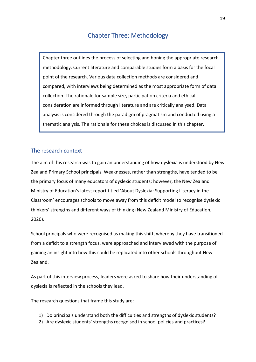# Chapter Three: Methodology

<span id="page-25-0"></span>Chapter three outlines the process of selecting and honing the appropriate research methodology. Current literature and comparable studies form a basis for the focal point of the research. Various data collection methods are considered and compared, with interviews being determined as the most appropriate form of data collection. The rationale for sample size, participation criteria and ethical consideration are informed through literature and are critically analysed. Data analysis is considered through the paradigm of pragmatism and conducted using a thematic analysis. The rationale for these choices is discussed in this chapter.

## <span id="page-25-1"></span>The research context

The aim of this research was to gain an understanding of how dyslexia is understood by New Zealand Primary School principals. Weaknesses, rather than strengths, have tended to be the primary focus of many educators of dyslexic students; however, the New Zealand Ministry of Education's latest report titled 'About Dyslexia: Supporting Literacy in the Classroom' encourages schools to move away from this deficit model to recognise dyslexic thinkers' strengths and different ways of thinking (New Zealand Ministry of Education, 2020).

School principals who were recognised as making this shift, whereby they have transitioned from a deficit to a strength focus, were approached and interviewed with the purpose of gaining an insight into how this could be replicated into other schools throughout New Zealand.

As part of this interview process, leaders were asked to share how their understanding of dyslexia is reflected in the schools they lead.

The research questions that frame this study are:

- 1) Do principals understand both the difficulties and strengths of dyslexic students?
- 2) Are dyslexic students' strengths recognised in school policies and practices?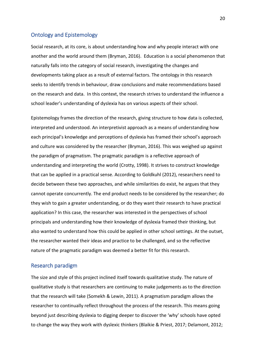#### <span id="page-26-0"></span>Ontology and Epistemology

Social research, at its core, is about understanding how and why people interact with one another and the world around them (Bryman, 2016). Education is a social phenomenon that naturally falls into the category of social research, investigating the changes and developments taking place as a result of external factors. The ontology in this research seeks to identify trends in behaviour, draw conclusions and make recommendations based on the research and data. In this context, the research strives to understand the influence a school leader's understanding of dyslexia has on various aspects of their school.

Epistemology frames the direction of the research, giving structure to how data is collected, interpreted and understood. An interpretivist approach as a means of understanding how each principal's knowledge and perceptions of dyslexia has framed their school's approach and culture was considered by the researcher (Bryman, 2016). This was weighed up against the paradigm of pragmatism. The pragmatic paradigm is a reflective approach of understanding and interpreting the world (Crotty, 1998). It strives to construct knowledge that can be applied in a practical sense. According to Goldkuhl (2012), researchers need to decide between these two approaches, and while similarities do exist, he argues that they cannot operate concurrently. The end product needs to be considered by the researcher; do they wish to gain a greater understanding, or do they want their research to have practical application? In this case, the researcher was interested in the perspectives of school principals and understanding how their knowledge of dyslexia framed their thinking, but also wanted to understand how this could be applied in other school settings. At the outset, the researcher wanted their ideas and practice to be challenged, and so the reflective nature of the pragmatic paradigm was deemed a better fit for this research.

#### <span id="page-26-1"></span>Research paradigm

The size and style of this project inclined itself towards qualitative study. The nature of qualitative study is that researchers are continuing to make judgements as to the direction that the research will take (Somekh & Lewin, 2011). A pragmatism paradigm allows the researcher to continually reflect throughout the process of the research. This means going beyond just describing dyslexia to digging deeper to discover the 'why' schools have opted to change the way they work with dyslexic thinkers (Blaikie & Priest, 2017; Delamont, 2012;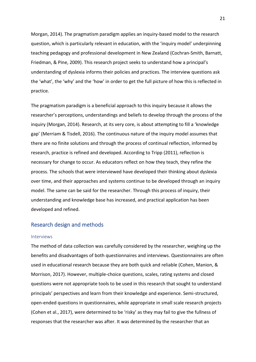Morgan, 2014). The pragmatism paradigm applies an inquiry-based model to the research question, which is particularly relevant in education, with the 'inquiry model' underpinning teaching pedagogy and professional development in New Zealand (Cochran-Smith, Barnatt, Friedman, & Pine, 2009). This research project seeks to understand how a principal's understanding of dyslexia informs their policies and practices. The interview questions ask the 'what', the 'why' and the 'how' in order to get the full picture of how this is reflected in practice.

The pragmatism paradigm is a beneficial approach to this inquiry because it allows the researcher's perceptions, understandings and beliefs to develop through the process of the inquiry (Morgan, 2014). Research, at its very core, is about attempting to fill a 'knowledge gap' (Merriam & Tisdell, 2016). The continuous nature of the inquiry model assumes that there are no finite solutions and through the process of continual reflection, informed by research, practice is refined and developed. According to Tripp (2011), reflection is necessary for change to occur. As educators reflect on how they teach, they refine the process. The schools that were interviewed have developed their thinking about dyslexia over time, and their approaches and systems continue to be developed through an inquiry model. The same can be said for the researcher. Through this process of inquiry, their understanding and knowledge base has increased, and practical application has been developed and refined.

#### <span id="page-27-0"></span>Research design and methods

#### <span id="page-27-1"></span>Interviews

The method of data collection was carefully considered by the researcher, weighing up the benefits and disadvantages of both questionnaires and interviews. Questionnaires are often used in educational research because they are both quick and reliable (Cohen, Manion, & Morrison, 2017). However, multiple-choice questions, scales, rating systems and closed questions were not appropriate tools to be used in this research that sought to understand principals' perspectives and learn from their knowledge and experience. Semi-structured, open-ended questions in questionnaires, while appropriate in small scale research projects (Cohen et al., 2017), were determined to be 'risky' as they may fail to give the fullness of responses that the researcher was after. It was determined by the researcher that an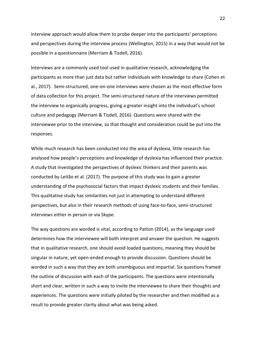interview approach would allow them to probe deeper into the participants' perceptions and perspectives during the interview process (Wellington, 2015) in a way that would not be possible in a questionnaire (Merriam & Tisdell, 2016).

Interviews are a commonly used tool used in qualitative research, acknowledging the participants as more than just data but rather individuals with knowledge to share (Cohen et al., 2017). Semi-structured, one-on-one interviews were chosen as the most effective form of data collection for this project. The semi-structured nature of the interviews permitted the interview to organically progress, giving a greater insight into the individual's school culture and pedagogy (Merriam & Tisdell, 2016). Questions were shared with the interviewee prior to the interview, so that thought and consideration could be put into the responses.

While much research has been conducted into the area of dyslexia, little research has analysed how people's perceptions and knowledge of dyslexia has influenced their practice. A study that investigated the perspectives of dyslexic thinkers and their parents was conducted by Leitão et al. (2017). The purpose of this study was to gain a greater understanding of the psychosocial factors that impact dyslexic students and their families. This qualitative study has similarities not just in attempting to understand different perspectives, but also in their research methods of using face-to-face, semi-structured interviews either in person or via Skype.

The way questions are worded is vital, according to Patton (2014), as the language used determines how the interviewee will both interpret and answer the question. He suggests that in qualitative research, one should avoid loaded questions, meaning they should be singular in nature, yet open-ended enough to provide discussion. Questions should be worded in such a way that they are both unambiguous and impartial. Six questions framed the outline of discussion with each of the participants. The questions were intentionally short and clear, written in such a way to invite the interviewee to share their thoughts and experiences. The questions were initially piloted by the researcher and then modified as a result to provide greater clarity about what was being asked.

 $22$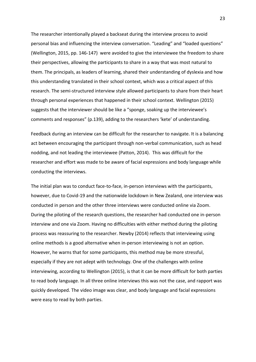The researcher intentionally played a backseat during the interview process to avoid personal bias and influencing the interview conversation. "Leading" and "loaded questions" (Wellington, 2015, pp. 146-147) were avoided to give the interviewee the freedom to share their perspectives, allowing the participants to share in a way that was most natural to them. The principals, as leaders of learning, shared their understanding of dyslexia and how this understanding translated in their school context, which was a critical aspect of this research. The semi-structured interview style allowed participants to share from their heart through personal experiences that happened in their school context. Wellington (2015) suggests that the interviewer should be like a "sponge, soaking up the interviewee's comments and responses" (p.139), adding to the researchers 'kete' of understanding.

Feedback during an interview can be difficult for the researcher to navigate. It is a balancing act between encouraging the participant through non-verbal communication, such as head nodding, and not leading the interviewee (Patton, 2014). This was difficult for the researcher and effort was made to be aware of facial expressions and body language while conducting the interviews.

The initial plan was to conduct face-to-face, in-person interviews with the participants, however, due to Covid-19 and the nationwide lockdown in New Zealand, one interview was conducted in person and the other three interviews were conducted online via Zoom. During the piloting of the research questions, the researcher had conducted one in-person interview and one via Zoom. Having no difficulties with either method during the piloting process was reassuring to the researcher. Newby (2014) reflects that interviewing using online methods is a good alternative when in-person interviewing is not an option. However, he warns that for some participants, this method may be more stressful, especially if they are not adept with technology. One of the challenges with online interviewing, according to Wellington (2015), is that it can be more difficult for both parties to read body language. In all three online interviews this was not the case, and rapport was quickly developed. The video image was clear, and body language and facial expressions were easy to read by both parties.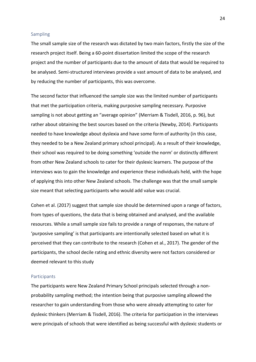#### <span id="page-30-0"></span>**Sampling**

The small sample size of the research was dictated by two main factors, firstly the size of the research project itself. Being a 60-point dissertation limited the scope of the research project and the number of participants due to the amount of data that would be required to be analysed. Semi-structured interviews provide a vast amount of data to be analysed, and by reducing the number of participants, this was overcome.

The second factor that influenced the sample size was the limited number of participants that met the participation criteria, making purposive sampling necessary. Purposive sampling is not about getting an "average opinion" (Merriam & Tisdell, 2016, p. 96), but rather about obtaining the best sources based on the criteria (Newby, 2014). Participants needed to have knowledge about dyslexia and have some form of authority (in this case, they needed to be a New Zealand primary school principal). As a result of their knowledge, their school was required to be doing something 'outside the norm' or distinctly different from other New Zealand schools to cater for their dyslexic learners. The purpose of the interviews was to gain the knowledge and experience these individuals held, with the hope of applying this into other New Zealand schools. The challenge was that the small sample size meant that selecting participants who would add value was crucial.

Cohen et al. (2017) suggest that sample size should be determined upon a range of factors, from types of questions, the data that is being obtained and analysed, and the available resources. While a small sample size fails to provide a range of responses, the nature of 'purposive sampling' is that participants are intentionally selected based on what it is perceived that they can contribute to the research (Cohen et al., 2017). The gender of the participants, the school decile rating and ethnic diversity were not factors considered or deemed relevant to this study

#### <span id="page-30-1"></span>**Participants**

The participants were New Zealand Primary School principals selected through a nonprobability sampling method; the intention being that purposive sampling allowed the researcher to gain understanding from those who were already attempting to cater for dyslexic thinkers (Merriam & Tisdell, 2016). The criteria for participation in the interviews were principals of schools that were identified as being successful with dyslexic students or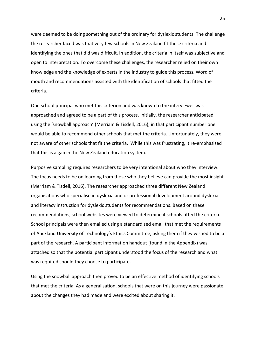were deemed to be doing something out of the ordinary for dyslexic students. The challenge the researcher faced was that very few schools in New Zealand fit these criteria and identifying the ones that did was difficult. In addition, the criteria in itself was subjective and open to interpretation. To overcome these challenges, the researcher relied on their own knowledge and the knowledge of experts in the industry to guide this process. Word of mouth and recommendations assisted with the identification of schools that fitted the criteria.

One school principal who met this criterion and was known to the interviewer was approached and agreed to be a part of this process. Initially, the researcher anticipated using the 'snowball approach' (Merriam & Tisdell, 2016), in that participant number one would be able to recommend other schools that met the criteria. Unfortunately, they were not aware of other schools that fit the criteria. While this was frustrating, it re-emphasised that this is a gap in the New Zealand education system.

Purposive sampling requires researchers to be very intentional about who they interview. The focus needs to be on learning from those who they believe can provide the most insight (Merriam & Tisdell, 2016). The researcher approached three different New Zealand organisations who specialise in dyslexia and or professional development around dyslexia and literacy instruction for dyslexic students for recommendations. Based on these recommendations, school websites were viewed to determine if schools fitted the criteria. School principals were then emailed using a standardised email that met the requirements of Auckland University of Technology's Ethics Committee, asking them if they wished to be a part of the research. A participant information handout (found in the Appendix) was attached so that the potential participant understood the focus of the research and what was required should they choose to participate.

Using the snowball approach then proved to be an effective method of identifying schools that met the criteria. As a generalisation, schools that were on this journey were passionate about the changes they had made and were excited about sharing it.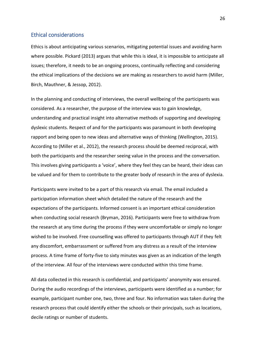#### <span id="page-32-0"></span>Ethical considerations

Ethics is about anticipating various scenarios, mitigating potential issues and avoiding harm where possible. Pickard (2013) argues that while this is ideal, it is impossible to anticipate all issues; therefore, it needs to be an ongoing process, continually reflecting and considering the ethical implications of the decisions we are making as researchers to avoid harm (Miller, Birch, Mauthner, & Jessop, 2012).

In the planning and conducting of interviews, the overall wellbeing of the participants was considered. As a researcher, the purpose of the interview was to gain knowledge, understanding and practical insight into alternative methods of supporting and developing dyslexic students. Respect of and for the participants was paramount in both developing rapport and being open to new ideas and alternative ways of thinking (Wellington, 2015). According to (Miller et al., 2012), the research process should be deemed reciprocal, with both the participants and the researcher seeing value in the process and the conversation. This involves giving participants a 'voice', where they feel they can be heard, their ideas can be valued and for them to contribute to the greater body of research in the area of dyslexia.

Participants were invited to be a part of this research via email. The email included a participation information sheet which detailed the nature of the research and the expectations of the participants. Informed consent is an important ethical consideration when conducting social research (Bryman, 2016). Participants were free to withdraw from the research at any time during the process if they were uncomfortable or simply no longer wished to be involved. Free counselling was offered to participants through AUT if they felt any discomfort, embarrassment or suffered from any distress as a result of the interview process. A time frame of forty-five to sixty minutes was given as an indication of the length of the interview. All four of the interviews were conducted within this time frame.

All data collected in this research is confidential, and participants' anonymity was ensured. During the audio recordings of the interviews, participants were identified as a number; for example, participant number one, two, three and four. No information was taken during the research process that could identify either the schools or their principals, such as locations, decile ratings or number of students.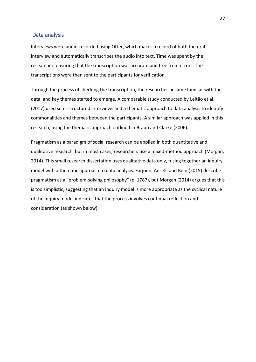#### <span id="page-33-0"></span>Data analysis

Interviews were audio-recorded using Otter, which makes a record of both the oral interview and automatically transcribes the audio into text. Time was spent by the researcher, ensuring that the transcription was accurate and free from errors. The transcriptions were then sent to the participants for verification.

Through the process of checking the transcription, the researcher became familiar with the data, and key themes started to emerge. A comparable study conducted by Leitão et al. (2017) used semi-structured interviews and a thematic approach to data analysis to identify commonalities and themes between the participants. A similar approach was applied in this research, using the thematic approach outlined in Braun and Clarke (2006).

Pragmatism as a paradigm of social research can be applied in both quantitative and qualitative research, but in most cases, researchers use a mixed-method approach (Morgan, 2014). This small research dissertation uses qualitative data only, fusing together an inquiry model with a thematic approach to data analysis. Farjoun, Ansell, and Boin (2015) describe pragmatism as a "problem-solving philosophy" (p. 1787), but Morgan (2014) argues that this is too simplistic, suggesting that an inquiry model is more appropriate as the cyclical nature of the inquiry model indicates that the process involves continual reflection and consideration (as shown below).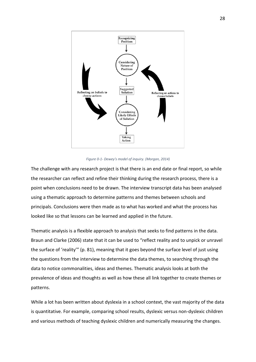

#### *Figure 0-1- Dewey's model of inquiry. (Morgan, 2014)*

The challenge with any research project is that there is an end date or final report, so while the researcher can reflect and refine their thinking during the research process, there is a point when conclusions need to be drawn. The interview transcript data has been analysed using a thematic approach to determine patterns and themes between schools and principals. Conclusions were then made as to what has worked and what the process has looked like so that lessons can be learned and applied in the future.

Thematic analysis is a flexible approach to analysis that seeks to find patterns in the data. Braun and Clarke (2006) state that it can be used to "reflect reality and to unpick or unravel the surface of 'reality'" (p. 81), meaning that it goes beyond the surface level of just using the questions from the interview to determine the data themes, to searching through the data to notice commonalities, ideas and themes. Thematic analysis looks at both the prevalence of ideas and thoughts as well as how these all link together to create themes or patterns.

While a lot has been written about dyslexia in a school context, the vast majority of the data is quantitative. For example, comparing school results, dyslexic versus non-dyslexic children and various methods of teaching dyslexic children and numerically measuring the changes.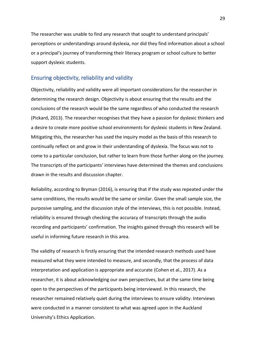The researcher was unable to find any research that sought to understand principals' perceptions or understandings around dyslexia, nor did they find information about a school or a principal's journey of transforming their literacy program or school culture to better support dyslexic students.

## <span id="page-35-0"></span>Ensuring objectivity, reliability and validity

Objectivity, reliability and validity were all important considerations for the researcher in determining the research design. Objectivity is about ensuring that the results and the conclusions of the research would be the same regardless of who conducted the research (Pickard, 2013). The researcher recognises that they have a passion for dyslexic thinkers and a desire to create more positive school environments for dyslexic students in New Zealand. Mitigating this, the researcher has used the inquiry model as the basis of this research to continually reflect on and grow in their understanding of dyslexia. The focus was not to come to a particular conclusion, but rather to learn from those further along on the journey. The transcripts of the participants' interviews have determined the themes and conclusions drawn in the results and discussion chapter.

Reliability, according to Bryman (2016), is ensuring that if the study was repeated under the same conditions, the results would be the same or similar. Given the small sample size, the purposive sampling, and the discussion style of the interviews, this is not possible. Instead, reliability is ensured through checking the accuracy of transcripts through the audio recording and participants' confirmation. The insights gained through this research will be useful in informing future research in this area.

The validity of research is firstly ensuring that the intended research methods used have measured what they were intended to measure, and secondly, that the process of data interpretation and application is appropriate and accurate (Cohen et al., 2017). As a researcher, it is about acknowledging our own perspectives, but at the same time being open to the perspectives of the participants being interviewed. In this research, the researcher remained relatively quiet during the interviews to ensure validity. Interviews were conducted in a manner consistent to what was agreed upon in the Auckland University's Ethics Application.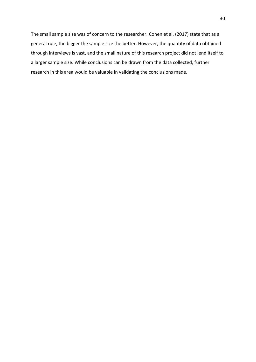The small sample size was of concern to the researcher. Cohen et al. (2017) state that as a general rule, the bigger the sample size the better. However, the quantity of data obtained through interviews is vast, and the small nature of this research project did not lend itself to a larger sample size. While conclusions can be drawn from the data collected, further research in this area would be valuable in validating the conclusions made.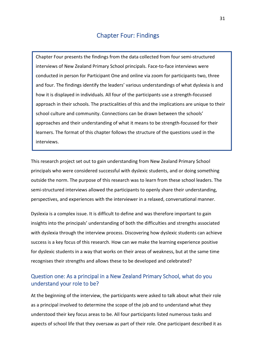## Chapter Four: Findings

I

I

I

I

<span id="page-37-0"></span>Chapter Four presents the findings from the data collected from four semi-structured interviews of New Zealand Primary School principals. Face-to-face interviews were conducted in person for Participant One and online via zoom for participants two, three and four. The findings identify the leaders' various understandings of what dyslexia is and how it is displayed in individuals. All four of the participants use a strength-focussed approach in their schools. The practicalities of this and the implications are unique to their school culture and community. Connections can be drawn between the schools' approaches and their understanding of what it means to be strength-focussed for their learners. The format of this chapter follows the structure of the questions used in the interviews.

This research project set out to gain understanding from New Zealand Primary School principals who were considered successful with dyslexic students, and or doing something outside the norm. The purpose of this research was to learn from these school leaders. The semi-structured interviews allowed the participants to openly share their understanding, perspectives, and experiences with the interviewer in a relaxed, conversational manner.

Dyslexia is a complex issue. It is difficult to define and was therefore important to gain insights into the principals' understanding of both the difficulties and strengths associated with dyslexia through the interview process. Discovering how dyslexic students can achieve success is a key focus of this research. How can we make the learning experience positive for dyslexic students in a way that works on their areas of weakness, but at the same time recognises their strengths and allows these to be developed and celebrated?

## <span id="page-37-1"></span>Question one: As a principal in a New Zealand Primary School, what do you understand your role to be?

At the beginning of the interview, the participants were asked to talk about what their role as a principal involved to determine the scope of the job and to understand what they understood their key focus areas to be. All four participants listed numerous tasks and aspects of school life that they oversaw as part of their role. One participant described it as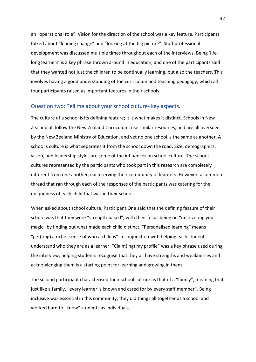an "operational role". Vision for the direction of the school was a key feature. Participants talked about "leading change" and "looking at the big picture". Staff professional development was discussed multiple times throughout each of the interviews. Being 'lifelong learners' is a key phrase thrown around in education, and one of the participants said that they wanted not just the children to be continually learning, but also the teachers. This involves having a good understanding of the curriculum and teaching pedagogy, which all four participants raised as important features in their schools.

#### <span id="page-38-0"></span>Question two: Tell me about your school culture- key aspects.

The culture of a school is its defining feature; it is what makes it distinct. Schools in New Zealand all follow the New Zealand Curriculum, use similar resources, and are all overseen by the New Zealand Ministry of Education, and yet no one school is the same as another. A school's culture is what separates it from the school down the road. Size, demographics, vision, and leadership styles are some of the influences on school culture. The school cultures represented by the participants who took part in this research are completely different from one another, each serving their community of learners. However, a common thread that ran through each of the responses of the participants was catering for the uniqueness of each child that was in their school.

When asked about school culture, Participant One said that the defining feature of their school was that they were "strength-based", with their focus being on "uncovering your magic" by finding out what made each child distinct. "Personalised learning" means "get(ting) a richer sense of who a child is" in conjunction with helping each student understand who they are as a learner. "Claim(ing) my profile" was a key phrase used during the interview, helping students recognise that they all have strengths and weaknesses and acknowledging them is a starting point for learning and growing in them.

The second participant characterised their school culture as that of a "family", meaning that just like a family, "every learner is known and cared for by every staff member". Being inclusive was essential in this community; they did things all together as a school and worked hard to "know" students as individuals.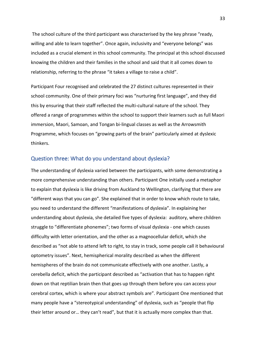The school culture of the third participant was characterised by the key phrase "ready, willing and able to learn together". Once again, inclusivity and "everyone belongs" was included as a crucial element in this school community. The principal at this school discussed knowing the children and their families in the school and said that it all comes down to relationship, referring to the phrase "it takes a village to raise a child".

Participant Four recognised and celebrated the 27 distinct cultures represented in their school community. One of their primary foci was "nurturing first language", and they did this by ensuring that their staff reflected the multi-cultural nature of the school. They offered a range of programmes within the school to support their learners such as full Maori immersion, Maori, Samoan, and Tongan bi-lingual classes as well as the Arrowsmith Programme, which focuses on "growing parts of the brain" particularly aimed at dyslexic thinkers.

#### <span id="page-39-0"></span>Question three: What do you understand about dyslexia?

The understanding of dyslexia varied between the participants, with some demonstrating a more comprehensive understanding than others. Participant One initially used a metaphor to explain that dyslexia is like driving from Auckland to Wellington, clarifying that there are "different ways that you can go". She explained that in order to know which route to take, you need to understand the different "manifestations of dyslexia". In explaining her understanding about dyslexia, she detailed five types of dyslexia: auditory, where children struggle to "differentiate phonemes"; two forms of visual dyslexia - one which causes difficulty with letter orientation, and the other as a magnocellular deficit, which she described as "not able to attend left to right, to stay in track, some people call it behavioural optometry issues". Next, hemispherical morality described as when the different hemispheres of the brain do not communicate effectively with one another. Lastly, a cerebella deficit, which the participant described as "activation that has to happen right down on that reptilian brain then that goes up through them before you can access your cerebral cortex, which is where your abstract symbols are". Participant One mentioned that many people have a "stereotypical understanding" of dyslexia, such as "people that flip their letter around or… they can't read", but that it is actually more complex than that.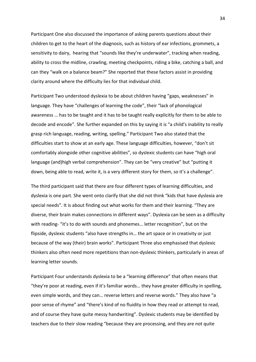Participant One also discussed the importance of asking parents questions about their children to get to the heart of the diagnosis, such as history of ear infections, grommets, a sensitivity to dairy, hearing that "sounds like they're underwater", tracking when reading, ability to cross the midline, crawling, meeting checkpoints, riding a bike, catching a ball, and can they "walk on a balance beam?" She reported that these factors assist in providing clarity around where the difficulty lies for that individual child.

Participant Two understood dyslexia to be about children having "gaps, weaknesses" in language. They have "challenges of learning the code", their "lack of phonological awareness … has to be taught and it has to be taught really explicitly for them to be able to decode and encode". She further expanded on this by saying it is "a child's inability to really grasp rich language, reading, writing, spelling." Participant Two also stated that the difficulties start to show at an early age. These language difficulties, however, "don't sit comfortably alongside other cognitive abilities", so dyslexic students can have "high oral language (and)high verbal comprehension". They can be "very creative" but "putting it down, being able to read, write it, is a very different story for them, so it's a challenge".

The third participant said that there are four different types of learning difficulties, and dyslexia is one part. She went onto clarify that she did not think "kids that have dyslexia are special needs". It is about finding out what works for them and their learning. "They are diverse, their brain makes connections in different ways". Dyslexia can be seen as a difficulty with reading- "it's to do with sounds and phonemes… letter recognition", but on the flipside, dyslexic students "also have strengths in… the art space or in creativity or just because of the way (their) brain works". Participant Three also emphasised that dyslexic thinkers also often need more repetitions than non-dyslexic thinkers, particularly in areas of learning letter sounds.

Participant Four understands dyslexia to be a "learning difference" that often means that "they're poor at reading, even if it's familiar words… they have greater difficulty in spelling, even simple words, and they can… reverse letters and reverse words." They also have "a poor sense of rhyme" and "there's kind of no fluidity in how they read or attempt to read, and of course they have quite messy handwriting". Dyslexic students may be identified by teachers due to their slow reading "because they are processing, and they are not quite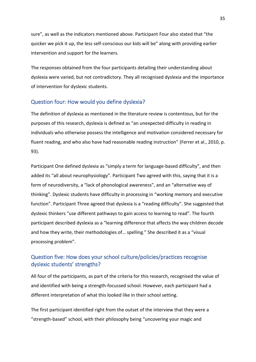sure", as well as the indicators mentioned above. Participant Four also stated that "the quicker we pick it up, the less self-conscious our kids will be" along with providing earlier intervention and support for the learners.

The responses obtained from the four participants detailing their understanding about dyslexia were varied, but not contradictory. They all recognised dyslexia and the importance of intervention for dyslexic students.

#### <span id="page-41-0"></span>Question four: How would you define dyslexia?

The definition of dyslexia as mentioned in the literature review is contentious, but for the purposes of this research, dyslexia is defined as "an unexpected difficulty in reading in individuals who otherwise possess the intelligence and motivation considered necessary for fluent reading, and who also have had reasonable reading instruction" (Ferrer et al., 2010, p. 93).

Participant One defined dyslexia as "simply a term for language-based difficulty", and then added its "all about neurophysiology". Participant Two agreed with this, saying that it is a form of neurodiversity, a "lack of phonological awareness", and an "alternative way of thinking". Dyslexic students have difficulty in processing in "working memory and executive function". Participant Three agreed that dyslexia is a "reading difficulty". She suggested that dyslexic thinkers "use different pathways to gain access to learning to read". The fourth participant described dyslexia as a "learning difference that affects the way children decode and how they write, their methodologies of… spelling." She described it as a "visual processing problem".

## <span id="page-41-1"></span>Question five: How does your school culture/policies/practices recognise dyslexic students' strengths?

All four of the participants, as part of the criteria for this research, recognised the value of and identified with being a strength-focussed school. However, each participant had a different interpretation of what this looked like in their school setting.

The first participant identified right from the outset of the interview that they were a "strength-based" school, with their philosophy being "uncovering your magic and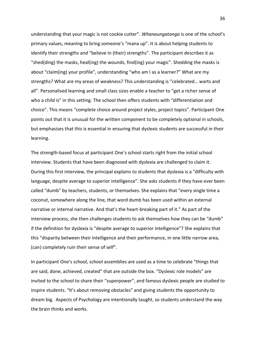understanding that your magic is not cookie cutter". *Whanaungatanga* is one of the school's primary values, meaning to bring someone's "mana up". It is about helping students to identify their strengths and "believe in (their) strengths". The participant describes it as "shed(ding) the masks, heal(ing) the wounds, find(ing) your magic". Shedding the masks is about "claim(ing) your profile", understanding "who am I as a learner?" What are my strengths? What are my areas of weakness? This understanding is "celebrated… warts and all". Personalised learning and small class sizes enable a teacher to "get a richer sense of who a child is" in this setting. The school then offers students with "differentiation and choice". This means "complete choice around project styles, project topics". Participant One points out that it is unusual for the written component to be completely optional in schools, but emphasises that this is essential in ensuring that dyslexic students are successful in their learning.

The strength-based focus at participant One's school starts right from the initial school interview. Students that have been diagnosed with dyslexia are challenged to claim it. During this first interview, the principal explains to students that dyslexia is a "difficulty with language, despite average to superior intelligence". She asks students if they have ever been called "dumb" by teachers, students, or themselves. She explains that "every single time a coconut, somewhere along the line, that word dumb has been used within an external narrative or internal narrative. And that's the heart-breaking part of it." As part of the interview process, she then challenges students to ask themselves how they can be "dumb" if the definition for dyslexia is "despite average to superior intelligence"? She explains that this "disparity between their intelligence and their performance, in one little narrow area, (can) completely ruin their sense of self".

In participant One's school, school assemblies are used as a time to celebrate "things that are said, done, achieved, created" that are outside the box. "Dyslexic role models" are invited to the school to share their "superpower", and famous dyslexic people are studied to inspire students. "It's about removing obstacles" and giving students the opportunity to dream big. Aspects of Psychology are intentionally taught, so students understand the way the brain thinks and works.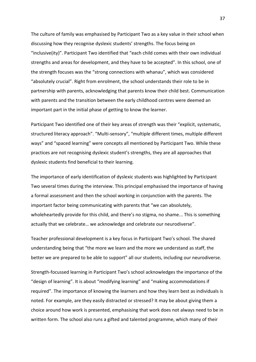The culture of family was emphasised by Participant Two as a key value in their school when discussing how they recognise dyslexic students' strengths. The focus being on "inclusive(ity)". Participant Two identified that "each child comes with their own individual strengths and areas for development, and they have to be accepted". In this school, one of the strength focuses was the "strong connections with whanau", which was considered "absolutely crucial". Right from enrolment, the school understands their role to be in partnership with parents, acknowledging that parents know their child best. Communication with parents and the transition between the early childhood centres were deemed an important part in the initial phase of getting to know the learner.

Participant Two identified one of their key areas of strength was their "explicit, systematic, structured literacy approach". "Multi-sensory", "multiple different times, multiple different ways" and "spaced learning" were concepts all mentioned by Participant Two. While these practices are not recognising dyslexic student's strengths, they are all approaches that dyslexic students find beneficial to their learning.

The importance of early identification of dyslexic students was highlighted by Participant Two several times during the interview. This principal emphasised the importance of having a formal assessment and then the school working in conjunction with the parents. The important factor being communicating with parents that "we can absolutely, wholeheartedly provide for this child, and there's no stigma, no shame... This is something actually that we celebrate… we acknowledge and celebrate our neurodiverse".

Teacher professional development is a key focus in Participant Two's school. The shared understanding being that "the more we learn and the more we understand as staff, the better we are prepared to be able to support" all our students, including our neurodiverse.

Strength-focussed learning in Participant Two's school acknowledges the importance of the "design of learning". It is about "modifying learning" and "making accommodations if required". The importance of knowing the learners and how they learn best as individuals is noted. For example, are they easily distracted or stressed? It may be about giving them a choice around how work is presented, emphasising that work does not always need to be in written form. The school also runs a gifted and talented programme, which many of their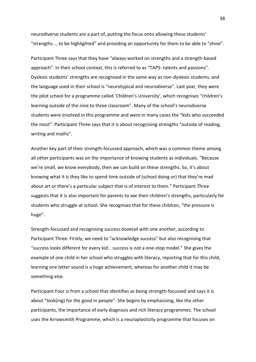neurodiverse students are a part of, putting the focus onto allowing these students' "strengths … to be highlighted" and providing an opportunity for them to be able to "shine".

Participant Three says that they have "always worked on strengths and a strength-based approach". In their school context, this is referred to as "TAPS- talents and passions". Dyslexic students' strengths are recognised in the same way as non-dyslexic students, and the language used in their school is "neurotypical and neurodiverse". Last year, they were the pilot school for a programme called 'Children's University', which recognises "children's learning outside of the nine to three classroom". Many of the school's neurodiverse students were involved in this programme and were in many cases the "kids who succeeded the most". Participant Three says that it is about recognising strengths "outside of reading, writing and maths".

Another key part of their strength-focussed approach, which was a common theme among all other participants was on the importance of knowing students as individuals. "Because we're small, we know everybody, then we can build on these strengths. So, it's about knowing what it is they like to spend time outside of (school doing or) that they're mad about art or there's a particular subject that is of interest to them." Participant Three suggests that it is also important for parents to see their children's strengths, particularly for students who struggle at school. She recognises that for these children, "the pressure is huge".

Strength-focussed and recognising success dovetail with one another, according to Participant Three. Firstly, we need to "acknowledge success" but also recognising that "success looks different for every kid… success is not a one-stop model." She gives the example of one child in her school who struggles with literacy, reporting that for this child, learning one letter sound is a huge achievement, whereas for another child it may be something else.

Participant Four is from a school that identifies as being strength-focussed and says it is about "look(ing) for the good in people". She begins by emphasising, like the other participants, the importance of early diagnosis and rich literacy programmes. The school uses the Arrowsmith Programme, which is a neuroplasticity programme that focuses on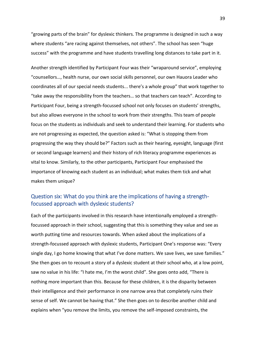"growing parts of the brain" for dyslexic thinkers. The programme is designed in such a way where students "are racing against themselves, not others". The school has seen "huge success" with the programme and have students travelling long distances to take part in it.

Another strength identified by Participant Four was their "wraparound service", employing "counsellors…, health nurse, our own social skills personnel, our own Hauora Leader who coordinates all of our special needs students... there's a whole group" that work together to "take away the responsibility from the teachers… so that teachers can teach". According to Participant Four, being a strength-focussed school not only focuses on students' strengths, but also allows everyone in the school to work from their strengths. This team of people focus on the students as individuals and seek to understand their learning. For students who are not progressing as expected, the question asked is: "What is stopping them from progressing the way they should be?" Factors such as their hearing, eyesight, language (first or second language learners) and their history of rich literacy programme experiences as vital to know. Similarly, to the other participants, Participant Four emphasised the importance of knowing each student as an individual; what makes them tick and what makes them unique?

## <span id="page-45-0"></span>Question six: What do you think are the implications of having a strengthfocussed approach with dyslexic students?

Each of the participants involved in this research have intentionally employed a strengthfocussed approach in their school, suggesting that this is something they value and see as worth putting time and resources towards. When asked about the implications of a strength-focussed approach with dyslexic students, Participant One's response was: "Every single day, I go home knowing that what I've done matters. We save lives, we save families." She then goes on to recount a story of a dyslexic student at their school who, at a low point, saw no value in his life: "I hate me, I'm the worst child". She goes onto add, "There is nothing more important than this. Because for these children, it is the disparity between their intelligence and their performance in one narrow area that completely ruins their sense of self. We cannot be having that." She then goes on to describe another child and explains when "you remove the limits, you remove the self-imposed constraints, the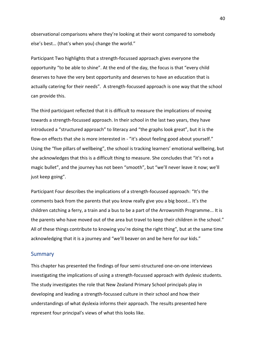observational comparisons where they're looking at their worst compared to somebody else's best… (that's when you) change the world."

Participant Two highlights that a strength-focussed approach gives everyone the opportunity "to be able to shine". At the end of the day, the focus is that "every child deserves to have the very best opportunity and deserves to have an education that is actually catering for their needs". A strength-focussed approach is one way that the school can provide this.

The third participant reflected that it is difficult to measure the implications of moving towards a strength-focussed approach. In their school in the last two years, they have introduced a "structured approach" to literacy and "the graphs look great", but it is the flow-on effects that she is more interested in - "it's about feeling good about yourself." Using the "five pillars of wellbeing", the school is tracking learners' emotional wellbeing, but she acknowledges that this is a difficult thing to measure. She concludes that "it's not a magic bullet", and the journey has not been "smooth", but "we'll never leave it now; we'll just keep going".

Participant Four describes the implications of a strength-focussed approach: "It's the comments back from the parents that you know really give you a big boost… It's the children catching a ferry, a train and a bus to be a part of the Arrowsmith Programme... It is the parents who have moved out of the area but travel to keep their children in the school." All of these things contribute to knowing you're doing the right thing", but at the same time acknowledging that it is a journey and "we'll beaver on and be here for our kids."

#### <span id="page-46-0"></span>**Summary**

This chapter has presented the findings of four semi-structured one-on-one interviews investigating the implications of using a strength-focussed approach with dyslexic students. The study investigates the role that New Zealand Primary School principals play in developing and leading a strength-focussed culture in their school and how their understandings of what dyslexia informs their approach. The results presented here represent four principal's views of what this looks like.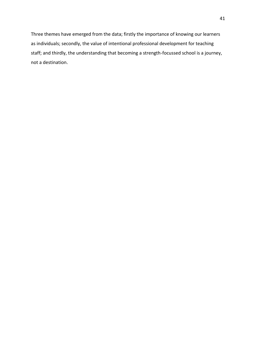Three themes have emerged from the data; firstly the importance of knowing our learners as individuals; secondly, the value of intentional professional development for teaching staff; and thirdly, the understanding that becoming a strength-focussed school is a journey, not a destination.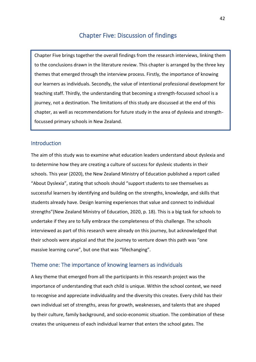## Chapter Five: Discussion of findings

<span id="page-48-0"></span>Chapter Five brings together the overall findings from the research interviews, linking them to the conclusions drawn in the literature review. This chapter is arranged by the three key themes that emerged through the interview process. Firstly, the importance of knowing our learners as individuals. Secondly, the value of intentional professional development for teaching staff. Thirdly, the understanding that becoming a strength-focussed school is a journey, not a destination. The limitations of this study are discussed at the end of this chapter, as well as recommendations for future study in the area of dyslexia and strengthfocussed primary schools in New Zealand.

## <span id="page-48-1"></span>Introduction

I

I

I

I

I

Ļ

The aim of this study was to examine what education leaders understand about dyslexia and to determine how they are creating a culture of success for dyslexic students in their schools. This year (2020), the New Zealand Ministry of Education published a report called "About Dyslexia", stating that schools should "support students to see themselves as successful learners by identifying and building on the strengths, knowledge, and skills that students already have. Design learning experiences that value and connect to individual strengths"(New Zealand Ministry of Education, 2020, p. 18). This is a big task for schools to undertake if they are to fully embrace the completeness of this challenge. The schools interviewed as part of this research were already on this journey, but acknowledged that their schools were atypical and that the journey to venture down this path was "one massive learning curve", but one that was "lifechanging".

#### <span id="page-48-2"></span>Theme one: The importance of knowing learners as individuals

A key theme that emerged from all the participants in this research project was the importance of understanding that each child is unique. Within the school context, we need to recognise and appreciate individuality and the diversity this creates. Every child has their own individual set of strengths, areas for growth, weaknesses, and talents that are shaped by their culture, family background, and socio-economic situation. The combination of these creates the uniqueness of each individual learner that enters the school gates. The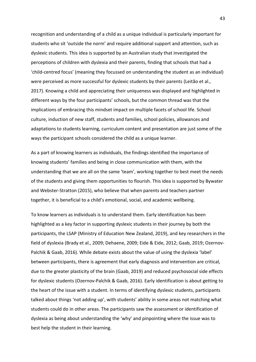recognition and understanding of a child as a unique individual is particularly important for students who sit 'outside the norm' and require additional support and attention, such as dyslexic students. This idea is supported by an Australian study that investigated the perceptions of children with dyslexia and their parents, finding that schools that had a 'child-centred focus' (meaning they focussed on understanding the student as an individual) were perceived as more successful for dyslexic students by their parents (Leitão et al., 2017). Knowing a child and appreciating their uniqueness was displayed and highlighted in different ways by the four participants' schools, but the common thread was that the implications of embracing this mindset impact on multiple facets of school life. School culture, induction of new staff, students and families, school policies, allowances and adaptations to students learning, curriculum content and presentation are just some of the ways the participant schools considered the child as a unique learner.

As a part of knowing learners as individuals, the findings identified the importance of knowing students' families and being in close communication with them, with the understanding that we are all on the same 'team', working together to best meet the needs of the students and giving them opportunities to flourish. This idea is supported by Bywater and Webster-Stratton (2015), who believe that when parents and teachers partner together, it is beneficial to a child's emotional, social, and academic wellbeing.

To know learners as individuals is to understand them. Early identification has been highlighted as a key factor in supporting dyslexic students in their journey by both the participants, the LSAP (Ministry of Education New Zealand, 2019), and key researchers in the field of dyslexia (Brady et al., 2009; Dehaene, 2009; Eide & Eide, 2012; Gaab, 2019; Ozernov‐ Palchik & Gaab, 2016). While debate exists about the value of using the dyslexia 'label' between participants, there is agreement that early diagnosis and intervention are critical, due to the greater plasticity of the brain (Gaab, 2019) and reduced psychosocial side effects for dyslexic students (Ozernov‐Palchik & Gaab, 2016). Early identification is about getting to the heart of the issue with a student. In terms of identifying dyslexic students, participants talked about things 'not adding up', with students' ability in some areas not matching what students could do in other areas. The participants saw the assessment or identification of dyslexia as being about understanding the 'why' and pinpointing where the issue was to best help the student in their learning.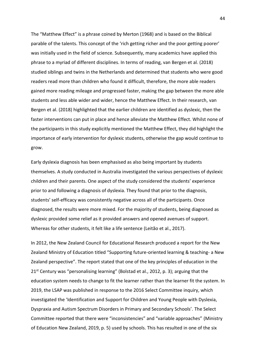The "Matthew Effect" is a phrase coined by Merton (1968) and is based on the Biblical parable of the talents. This concept of the 'rich getting richer and the poor getting poorer' was initially used in the field of science. Subsequently, many academics have applied this phrase to a myriad of different disciplines. In terms of reading, van Bergen et al. (2018) studied siblings and twins in the Netherlands and determined that students who were good readers read more than children who found it difficult, therefore, the more able readers gained more reading mileage and progressed faster, making the gap between the more able students and less able wider and wider, hence the Matthew Effect. In their research, van Bergen et al. (2018) highlighted that the earlier children are identified as dyslexic, then the faster interventions can put in place and hence alleviate the Matthew Effect. Whilst none of the participants in this study explicitly mentioned the Matthew Effect, they did highlight the importance of early intervention for dyslexic students, otherwise the gap would continue to grow.

Early dyslexia diagnosis has been emphasised as also being important by students themselves. A study conducted in Australia investigated the various perspectives of dyslexic children and their parents. One aspect of the study considered the students' experience prior to and following a diagnosis of dyslexia. They found that prior to the diagnosis, students' self-efficacy was consistently negative across all of the participants. Once diagnosed, the results were more mixed. For the majority of students, being diagnosed as dyslexic provided some relief as it provided answers and opened avenues of support. Whereas for other students, it felt like a life sentence (Leitão et al., 2017).

In 2012, the New Zealand Council for Educational Research produced a report for the New Zealand Ministry of Education titled "Supporting future-oriented learning & teaching- a New Zealand perspective". The report stated that one of the key principles of education in the  $21<sup>st</sup>$  Century was "personalising learning" (Bolstad et al., 2012, p. 3); arguing that the education system needs to change to fit the learner rather than the learner fit the system. In 2019, the LSAP was published in response to the 2016 Select Committee inquiry, which investigated the 'Identification and Support for Children and Young People with Dyslexia, Dyspraxia and Autism Spectrum Disorders in Primary and Secondary Schools'. The Select Committee reported that there were "inconsistencies" and "variable approaches" (Ministry of Education New Zealand, 2019, p. 5) used by schools. This has resulted in one of the six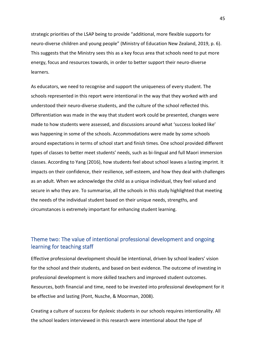strategic priorities of the LSAP being to provide "additional, more flexible supports for neuro-diverse children and young people" (Ministry of Education New Zealand, 2019, p. 6). This suggests that the Ministry sees this as a key focus area that schools need to put more energy, focus and resources towards, in order to better support their neuro-diverse learners.

As educators, we need to recognise and support the uniqueness of every student. The schools represented in this report were intentional in the way that they worked with and understood their neuro-diverse students, and the culture of the school reflected this. Differentiation was made in the way that student work could be presented, changes were made to how students were assessed, and discussions around what 'success looked like' was happening in some of the schools. Accommodations were made by some schools around expectations in terms of school start and finish times. One school provided different types of classes to better meet students' needs, such as bi-lingual and full Maori immersion classes. According to Yang (2016), how students feel about school leaves a lasting imprint. It impacts on their confidence, their resilience, self-esteem, and how they deal with challenges as an adult. When we acknowledge the child as a unique individual, they feel valued and secure in who they are. To summarise, all the schools in this study highlighted that meeting the needs of the individual student based on their unique needs, strengths, and circumstances is extremely important for enhancing student learning.

## <span id="page-51-0"></span>Theme two: The value of intentional professional development and ongoing learning for teaching staff

Effective professional development should be intentional, driven by school leaders' vision for the school and their students, and based on best evidence. The outcome of investing in professional development is more skilled teachers and improved student outcomes. Resources, both financial and time, need to be invested into professional development for it be effective and lasting (Pont, Nusche, & Moorman, 2008).

Creating a culture of success for dyslexic students in our schools requires intentionality. All the school leaders interviewed in this research were intentional about the type of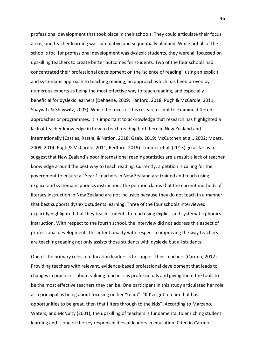professional development that took place in their schools. They could articulate their focus areas, and teacher learning was cumulative and sequentially planned. While not all of the school's foci for professional development was dyslexic students, they were all focussed on upskilling teachers to create better outcomes for students. Two of the four schools had concentrated their professional development on the 'science of reading', using an explicit and systematic approach to teaching reading; an approach which has been proven by numerous experts as being the most effective way to teach reading, and especially beneficial for dyslexic learners (Dehaene, 2009; Hanford, 2018; Pugh & McCardle, 2011; Shaywitz & Shaywitz, 2003). While the focus of this research is not to examine different approaches or programmes, it is important to acknowledge that research has highlighted a lack of teacher knowledge in how to teach reading both here in New Zealand and internationally (Castles, Rastle, & Nation, 2018; Gaab, 2019; McCutchen et al., 2002; Moats, 2009, 2014; Pugh & McCardle, 2011; Redford, 2019). Tunmer et al. (2013) go as far as to suggest that New Zealand's poor international reading statistics are a result a lack of teacher knowledge around the best way to teach reading. Currently, a petition is calling for the government to ensure all Year 1 teachers in New Zealand are trained and teach using explicit and systematic phonics instruction. The petition claims that the current methods of literacy instruction in New Zealand are not inclusive because they do not teach in a manner that best supports dyslexic students learning. Three of the four schools interviewed explicitly highlighted that they teach students to read using explicit and systematic phonics instruction. With respect to the fourth school, the interview did not address this aspect of professional development. This intentionality with respect to improving the way teachers are teaching reading not only assists those students with dyslexia but all students.

One of the primary roles of education leaders is to support their teachers (Cardno, 2012). Providing teachers with relevant, evidence-based professional development that leads to changes in practice is about valuing teachers as professionals and giving them the tools to be the most effective teachers they can be. One participant in this study articulated her role as a principal as being about focusing on her "team": "If I've got a team that has opportunities to be great, then that filters through to the kids". According to Marzano, Waters, and McNulty (2001), the upskilling of teachers is fundamental to enriching student learning and is one of the key responsibilities of leaders in education. Cited in Cardno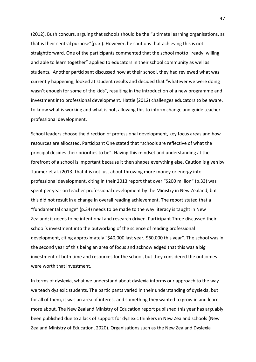(2012), Bush concurs, arguing that schools should be the "ultimate learning organisations, as that is their central purpose"(p. xi). However, he cautions that achieving this is not straightforward. One of the participants commented that the school motto "ready, willing and able to learn together" applied to educators in their school community as well as students. Another participant discussed how at their school, they had reviewed what was currently happening, looked at student results and decided that "whatever we were doing wasn't enough for some of the kids", resulting in the introduction of a new programme and investment into professional development. Hattie (2012) challenges educators to be aware, to know what is working and what is not, allowing this to inform change and guide teacher professional development.

School leaders choose the direction of professional development, key focus areas and how resources are allocated. Participant One stated that "schools are reflective of what the principal decides their priorities to be". Having this mindset and understanding at the forefront of a school is important because it then shapes everything else. Caution is given by Tunmer et al. (2013) that it is not just about throwing more money or energy into professional development, citing in their 2013 report that over "\$200 million" (p.33) was spent per year on teacher professional development by the Ministry in New Zealand, but this did not result in a change in overall reading achievement. The report stated that a "fundamental change" (p.34) needs to be made to the way literacy is taught in New Zealand; it needs to be intentional and research driven. Participant Three discussed their school's investment into the outworking of the science of reading professional development, citing approximately "\$40,000 last year, \$60,000 this year". The school was in the second year of this being an area of focus and acknowledged that this was a big investment of both time and resources for the school, but they considered the outcomes were worth that investment.

In terms of dyslexia, what we understand about dyslexia informs our approach to the way we teach dyslexic students. The participants varied in their understanding of dyslexia, but for all of them, it was an area of interest and something they wanted to grow in and learn more about. The New Zealand Ministry of Education report published this year has arguably been published due to a lack of support for dyslexic thinkers in New Zealand schools (New Zealand Ministry of Education, 2020). Organisations such as the New Zealand Dyslexia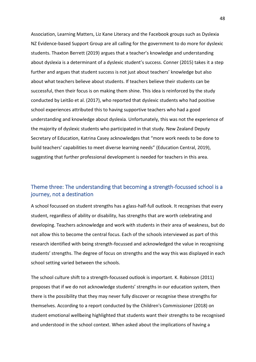Association, Learning Matters, Liz Kane Literacy and the Facebook groups such as Dyslexia NZ Evidence-based Support Group are all calling for the government to do more for dyslexic students. Thaxton Berrett (2019) argues that a teacher's knowledge and understanding about dyslexia is a determinant of a dyslexic student's success. Conner (2015) takes it a step further and argues that student success is not just about teachers' knowledge but also about what teachers believe about students. If teachers believe their students can be successful, then their focus is on making them shine. This idea is reinforced by the study conducted by Leitão et al. (2017), who reported that dyslexic students who had positive school experiences attributed this to having supportive teachers who had a good understanding and knowledge about dyslexia. Unfortunately, this was not the experience of the majority of dyslexic students who participated in that study. New Zealand Deputy Secretary of Education, Katrina Casey acknowledges that "more work needs to be done to build teachers' capabilities to meet diverse learning needs" (Education Central, 2019), suggesting that further professional development is needed for teachers in this area.

## <span id="page-54-0"></span>Theme three: The understanding that becoming a strength-focussed school is a journey, not a destination

A school focussed on student strengths has a glass-half-full outlook. It recognises that every student, regardless of ability or disability, has strengths that are worth celebrating and developing. Teachers acknowledge and work with students in their area of weakness, but do not allow this to become the central focus. Each of the schools interviewed as part of this research identified with being strength-focussed and acknowledged the value in recognising students' strengths. The degree of focus on strengths and the way this was displayed in each school setting varied between the schools.

The school culture shift to a strength-focussed outlook is important. K. Robinson (2011) proposes that if we do not acknowledge students' strengths in our education system, then there is the possibility that they may never fully discover or recognise these strengths for themselves. According to a report conducted by the Children's Commissioner (2018) on student emotional wellbeing highlighted that students want their strengths to be recognised and understood in the school context. When asked about the implications of having a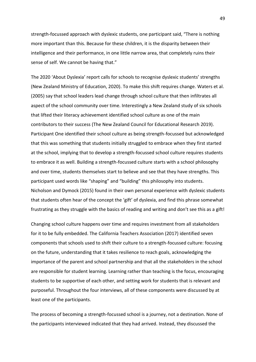strength-focussed approach with dyslexic students, one participant said, "There is nothing more important than this. Because for these children, it is the disparity between their intelligence and their performance, in one little narrow area, that completely ruins their sense of self. We cannot be having that."

The 2020 'About Dyslexia' report calls for schools to recognise dyslexic students' strengths (New Zealand Ministry of Education, 2020). To make this shift requires change. Waters et al. (2005) say that school leaders lead change through school culture that then infiltrates all aspect of the school community over time. Interestingly a New Zealand study of six schools that lifted their literacy achievement identified school culture as one of the main contributors to their success (The New Zealand Council for Educational Research 2019). Participant One identified their school culture as being strength-focussed but acknowledged that this was something that students initially struggled to embrace when they first started at the school, implying that to develop a strength-focussed school culture requires students to embrace it as well. Building a strength-focussed culture starts with a school philosophy and over time, students themselves start to believe and see that they have strengths. This participant used words like "shaping" and "building" this philosophy into students. Nicholson and Dymock (2015) found in their own personal experience with dyslexic students that students often hear of the concept the 'gift' of dyslexia, and find this phrase somewhat frustrating as they struggle with the basics of reading and writing and don't see this as a gift!

Changing school culture happens over time and requires investment from all stakeholders for it to be fully embedded. The California Teachers Association (2017) identified seven components that schools used to shift their culture to a strength-focussed culture: focusing on the future, understanding that it takes resilience to reach goals, acknowledging the importance of the parent and school partnership and that all the stakeholders in the school are responsible for student learning. Learning rather than teaching is the focus, encouraging students to be supportive of each other, and setting work for students that is relevant and purposeful. Throughout the four interviews, all of these components were discussed by at least one of the participants.

The process of becoming a strength-focussed school is a journey, not a destination. None of the participants interviewed indicated that they had arrived. Instead, they discussed the

49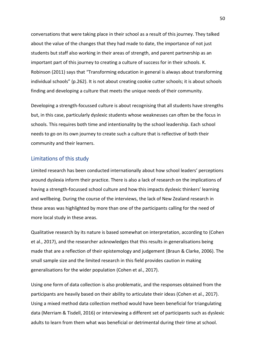conversations that were taking place in their school as a result of this journey. They talked about the value of the changes that they had made to date, the importance of not just students but staff also working in their areas of strength, and parent partnership as an important part of this journey to creating a culture of success for in their schools. K. Robinson (2011) says that "Transforming education in general is always about transforming individual schools" (p.262). It is not about creating cookie cutter schools; it is about schools finding and developing a culture that meets the unique needs of their community.

Developing a strength-focussed culture is about recognising that all students have strengths but, in this case, particularly dyslexic students whose weaknesses can often be the focus in schools. This requires both time and intentionality by the school leadership. Each school needs to go on its own journey to create such a culture that is reflective of both their community and their learners.

#### <span id="page-56-0"></span>Limitations of this study

Limited research has been conducted internationally about how school leaders' perceptions around dyslexia inform their practice. There is also a lack of research on the implications of having a strength-focussed school culture and how this impacts dyslexic thinkers' learning and wellbeing. During the course of the interviews, the lack of New Zealand research in these areas was highlighted by more than one of the participants calling for the need of more local study in these areas.

Qualitative research by its nature is based somewhat on interpretation, according to (Cohen et al., 2017), and the researcher acknowledges that this results in generalisations being made that are a reflection of their epistemology and judgement (Braun & Clarke, 2006). The small sample size and the limited research in this field provides caution in making generalisations for the wider population (Cohen et al., 2017).

Using one form of data collection is also problematic, and the responses obtained from the participants are heavily based on their ability to articulate their ideas (Cohen et al., 2017). Using a mixed method data collection method would have been beneficial for triangulating data (Merriam & Tisdell, 2016) or interviewing a different set of participants such as dyslexic adults to learn from them what was beneficial or detrimental during their time at school.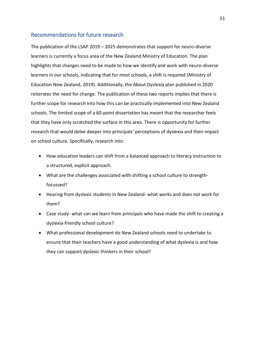#### <span id="page-57-0"></span>Recommendations for future research

The publication of the LSAP 2019 – 2025 demonstrates that support for neuro-diverse learners is currently a focus area of the New Zealand Ministry of Education. The plan highlights that changes need to be made to how we identify and work with neuro-diverse learners in our schools, indicating that for most schools, a shift is required (Ministry of Education New Zealand, 2019). Additionally, the About Dyslexia plan published in 2020 reiterates the need for change. The publication of these two reports implies that there is further scope for research into how this can be practically implemented into New Zealand schools. The limited scope of a 60-point dissertation has meant that the researcher feels that they have only scratched the surface in this area. There is opportunity for further research that would delve deeper into principals' perceptions of dyslexia and their impact on school culture. Specifically, research into:

- How education leaders can shift from a balanced approach to literacy instruction to a structured, explicit approach.
- What are the challenges associated with shifting a school culture to strengthfocussed?
- Hearing from dyslexic students in New Zealand- what works and does not work for them?
- Case study- what can we learn from principals who have made the shift to creating a dyslexia-friendly school culture?
- What professional development do New Zealand schools need to undertake to ensure that their teachers have a good understanding of what dyslexia is and how they can support dyslexic thinkers in their school?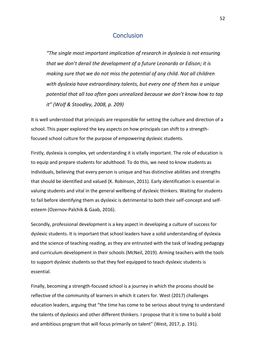## **Conclusion**

<span id="page-58-0"></span>*"The single most important implication of research in dyslexia is not ensuring that we don't derail the development of a future Leonardo or Edison; it is making sure that we do not miss the potential of any child. Not all children with dyslexia have extraordinary talents, but every one of them has a unique potential that all too often goes unrealized because we don't know how to tap it" (Wolf & Stoodley, 2008, p. 209)*

It is well understood that principals are responsible for setting the culture and direction of a school. This paper explored the key aspects on how principals can shift to a strengthfocused school culture for the purpose of empowering dyslexic students.

Firstly, dyslexia is complex, yet understanding it is vitally important. The role of education is to equip and prepare students for adulthood. To do this, we need to know students as individuals, believing that every person is unique and has distinctive abilities and strengths that should be identified and valued (K. Robinson, 2011). Early identification is essential in valuing students and vital in the general wellbeing of dyslexic thinkers. Waiting for students to fail before identifying them as dyslexic is detrimental to both their self-concept and selfesteem (Ozernov‐Palchik & Gaab, 2016).

Secondly, professional development is a key aspect in developing a culture of success for dyslexic students. It is important that school leaders have a solid understanding of dyslexia and the science of teaching reading, as they are entrusted with the task of leading pedagogy and curriculum development in their schools (McNeil, 2019). Arming teachers with the tools to support dyslexic students so that they feel equipped to teach dyslexic students is essential.

Finally, becoming a strength-focused school is a journey in which the process should be reflective of the community of learners in which it caters for. West (2017) challenges education leaders, arguing that "the time has come to be serious about trying to understand the talents of dyslexics and other different thinkers. I propose that it is time to build a bold and ambitious program that will focus primarily on talent" (West, 2017, p. 191).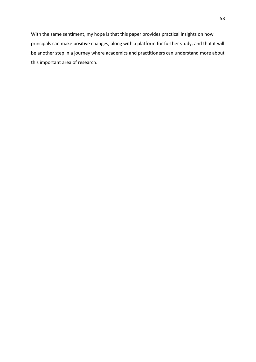With the same sentiment, my hope is that this paper provides practical insights on how principals can make positive changes, along with a platform for further study, and that it will be another step in a journey where academics and practitioners can understand more about this important area of research.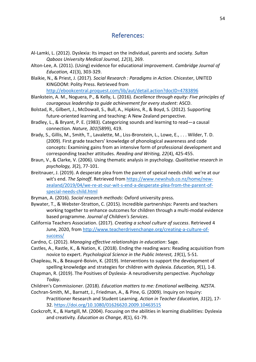## References:

- <span id="page-60-0"></span>Al-Lamki, L. (2012). Dyslexia: Its impact on the individual, parents and society. *Sultan Qaboos University Medical Journal, 12*(3), 269.
- Alton-Lee, A. (2011). (Using) evidence for educational improvement. *Cambridge Journal of Education, 41*(3), 303-329.
- Blaikie, N., & Priest, J. (2017). *Social Research : Paradigms in Action*. Chicester, UNITED KINGDOM: Polity Press. Retrieved from

<http://ebookcentral.proquest.com/lib/aut/detail.action?docID=4783896>

- Blankstein, A. M., Noguera, P., & Kelly, L. (2016). *Excellence through equity: Five principles of courageous leadership to guide achievement for every student*: ASCD.
- Bolstad, R., Gilbert, J., McDowall, S., Bull, A., Hipkins, R., & Boyd, S. (2012). Supporting future-oriented learning and teaching: A New Zealand perspective.
- Bradley, L., & Bryant, P. E. (1983). Categorizing sounds and learning to read—a causal connection. *Nature, 301*(5899), 419.
- Brady, S., Gillis, M., Smith, T., Lavalette, M., Liss-Bronstein, L., Lowe, E., . . . Wilder, T. D. (2009). First grade teachers' knowledge of phonological awareness and code concepts: Examining gains from an intensive form of professional development and corresponding teacher attitudes. *Reading and Writing, 22*(4), 425-455.
- Braun, V., & Clarke, V. (2006). Using thematic analysis in psychology. *Qualitative research in psychology, 3*(2), 77-101.
- Breitnauer, J. (2019). A desperate plea from the parent of speical needs child: we're at our wit's end. *The Spinoff*. Retrieved from [https://www.newshub.co.nz/home/new](https://www.newshub.co.nz/home/new-zealand/2019/04/we-re-at-our-wit-s-end-a-desperate-plea-from-the-parent-of-special-needs-child.html)[zealand/2019/04/we-re-at-our-wit-s-end-a-desperate-plea-from-the-parent-of](https://www.newshub.co.nz/home/new-zealand/2019/04/we-re-at-our-wit-s-end-a-desperate-plea-from-the-parent-of-special-needs-child.html)[special-needs-child.html](https://www.newshub.co.nz/home/new-zealand/2019/04/we-re-at-our-wit-s-end-a-desperate-plea-from-the-parent-of-special-needs-child.html)
- Bryman, A. (2016). *Social research methods*: Oxford university press.
- Bywater, T., & Webster-Stratton, C. (2015). Incredible partnerships: Parents and teachers working together to enhance outcomes for children through a multi-modal evidence based programme. *Journal of Children's Services*.
- California Teachers Association. (2017). *Creating a school culture of success*. Retrieved 4 June, 2020, fro[m http://www.teacherdrivenchange.org/creating-a-culture-of](http://www.teacherdrivenchange.org/creating-a-culture-of-success/)[success/](http://www.teacherdrivenchange.org/creating-a-culture-of-success/)
- Cardno, C. (2012). *Managing effective relationships in education*: Sage.
- Castles, A., Rastle, K., & Nation, K. (2018). Ending the reading wars: Reading acquisition from novice to expert. *Psychological Science in the Public Interest, 19*(1), 5-51.
- Chapleau, N., & Beaupré-Boivin, K. (2019). Interventions to support the development of spelling knowledge and strategies for children with dyslexia. *Education, 9*(1), 1-8.
- Chapman, R. (2019). The Positives of Dyslexia- A neurodiversity perspective. *Psychology Today*.
- Children's Commissioner. (2018). *Education matters to me: Emotional wellbeing*. *NZSTA*.
- Cochran-Smith, M., Barnatt, J., Friedman, A., & Pine, G. (2009). Inquiry on Inquiry: Practitioner Research and Student Learning. *Action in Teacher Education, 31*(2), 17- 32.<https://doi.org/10.1080/01626620.2009.10463515>
- Cockcroft, K., & Hartgill, M. (2004). Focusing on the abilities in learning disabilities: Dyslexia and creativity. *Education as Change, 8*(1), 61-79.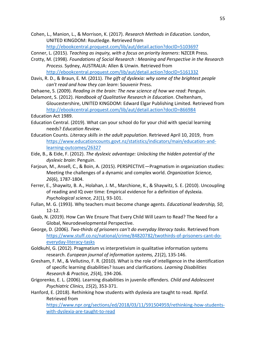- Cohen, L., Manion, L., & Morrison, K. (2017). *Research Methods in Education*. London, UNITED KINGDOM: Routledge. Retrieved from <http://ebookcentral.proquest.com/lib/aut/detail.action?docID=5103697>
- Conner, L. (2015). *Teaching as inquiry, with a focus on priority learners*: NZCER Press.
- Crotty, M. (1998). *Foundations of Social Research : Meaning and Perspective in the Research Process*. Sydney, AUSTRALIA: Allen & Unwin. Retrieved from <http://ebookcentral.proquest.com/lib/aut/detail.action?docID=5161332>
- Davis, R. D., & Braun, E. M. (2011). *The gift of dyslexia: why some of the brightest people can't read and how they can learn*: Souvenir Press.
- Dehaene, S. (2009). *Reading in the brain: The new science of how we read*: Penguin.
- Delamont, S. (2012). *Handbook of Qualitative Research in Education*. Cheltenham, Gloucestershire, UNITED KINGDOM: Edward Elgar Publishing Limited. Retrieved from <http://ebookcentral.proquest.com/lib/aut/detail.action?docID=866984>

Education Act 1989.

- Education Central. (2019). What can your school do for your chid with special learning needs? *Education Review*.
- Education Counts. *Literacy skills in the adult population*. Retrieved April 10, 2019, from [https://www.educationcounts.govt.nz/statistics/indicators/main/education-and](https://www.educationcounts.govt.nz/statistics/indicators/main/education-and-learning-outcomes/26327)[learning-outcomes/26327](https://www.educationcounts.govt.nz/statistics/indicators/main/education-and-learning-outcomes/26327)
- Eide, B., & Eide, F. (2012). *The dyslexic advantage: Unlocking the hidden potential of the dyslexic brain*: Penguin.
- Farjoun, M., Ansell, C., & Boin, A. (2015). PERSPECTIVE—Pragmatism in organization studies: Meeting the challenges of a dynamic and complex world. *Organization Science, 26*(6), 1787-1804.
- Ferrer, E., Shaywitz, B. A., Holahan, J. M., Marchione, K., & Shaywitz, S. E. (2010). Uncoupling of reading and IQ over time: Empirical evidence for a definition of dyslexia. *Psychological science, 21*(1), 93-101.
- Fullan, M. G. (1993). Why teachers must become change agents. *Educational leadership, 50*, 12-12.
- Gaab, N. (2019). How Can We Ensure That Every Child Will Learn to Read? The Need for a Global, Neurodevelopmental Perspective.
- George, D. (2006). *Two-thirds of prisoners can't do everyday literacy tasks*. Retrieved from [https://www.stuff.co.nz/national/crime/84820782/twothirds-of-prisoners-cant-do](https://www.stuff.co.nz/national/crime/84820782/twothirds-of-prisoners-cant-do-everyday-literacy-tasks)[everyday-literacy-tasks](https://www.stuff.co.nz/national/crime/84820782/twothirds-of-prisoners-cant-do-everyday-literacy-tasks)
- Goldkuhl, G. (2012). Pragmatism vs interpretivism in qualitative information systems research. *European journal of information systems, 21*(2), 135-146.
- Gresham, F. M., & Vellutino, F. R. (2010). What is the role of intelligence in the identification of specific learning disabilities? Issues and clarifications. *Learning Disabilities Research & Practice, 25*(4), 194-206.
- Grigorenko, E. L. (2006). Learning disabilities in juvenile offenders. *Child and Adolescent Psychiatric Clinics, 15*(2), 353-371.
- Hanford, E. (2018). Rethinking how students with dyslexia are taught to read. *NprEd*. Retrieved from

[https://www.npr.org/sections/ed/2018/03/11/591504959/rethinking-how-students](https://www.npr.org/sections/ed/2018/03/11/591504959/rethinking-how-students-with-dyslexia-are-taught-to-read)[with-dyslexia-are-taught-to-read](https://www.npr.org/sections/ed/2018/03/11/591504959/rethinking-how-students-with-dyslexia-are-taught-to-read)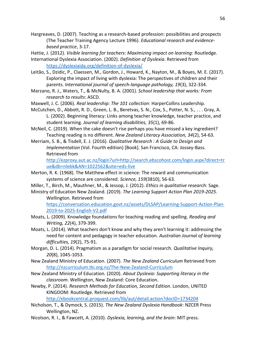- Hargreaves, D. (2007). Teaching as a research-based profession: possibilities and prospects (The Teacher Training Agency Lecture 1996). *Educational research and evidencebased practice*, 3-17.
- Hattie, J. (2012). *Visible learning for teachers: Maximizing impact on learning*: Routledge.
- International Dyslexia Association. (2002). *Definition of Dyslexia*. Retrieved from <https://dyslexiaida.org/definition-of-dyslexia/>
- Leitão, S., Dzidic, P., Claessen, M., Gordon, J., Howard, K., Nayton, M., & Boyes, M. E. (2017). Exploring the impact of living with dyslexia: The perspectives of children and their parents. *International journal of speech-language pathology, 19*(3), 322-334.
- Marzano, R. J., Waters, T., & McNulty, B. A. (2001). *School leadership that works: From research to results*: ASCD.
- Maxwell, J. C. (2006). *Real leadership: The 101 collection*: HarperCollins Leadership.
- McCutchen, D., Abbott, R. D., Green, L. B., Beretvas, S. N., Cox, S., Potter, N. S., . . . Gray, A. L. (2002). Beginning literacy: Links among teacher knowledge, teacher practice, and student learning. *Journal of learning disabilities, 35*(1), 69-86.
- McNeil, C. (2019). When the cake doesn't rise perhaps you have missed a key ingredient? Teaching reading is no different. *New Zealand Literacy Association, 34*(2), 54-63.
- Merriam, S. B., & Tisdell, E. J. (2016). *Qualitative Research : A Guide to Design and Implementation* (Vol. Fourth edition) [Book]. San Francisco, CA: Jossey-Bass. Retrieved from

[http://ezproxy.aut.ac.nz/login?url=http://search.ebscohost.com/login.aspx?direct=tr](http://ezproxy.aut.ac.nz/login?url=http://search.ebscohost.com/login.aspx?direct=true&db=nlebk&AN=1022562&site=eds-live) [ue&db=nlebk&AN=1022562&site=eds-live](http://ezproxy.aut.ac.nz/login?url=http://search.ebscohost.com/login.aspx?direct=true&db=nlebk&AN=1022562&site=eds-live)

- Merton, R. K. (1968). The Matthew effect in science: The reward and communication systems of science are considered. *Science, 159*(3810), 56-63.
- Miller, T., Birch, M., Mauthner, M., & Jessop, J. (2012). *Ethics in qualitative research*: Sage.
- Ministry of Education New Zealand. (2019). *The Learning Support Action Plan 2019-2025*. Wellington. Retrieved from

[https://conversation.education.govt.nz/assets/DLSAP/Learning-Support-Action-Plan-](https://conversation.education.govt.nz/assets/DLSAP/Learning-Support-Action-Plan-2019-to-2025-English-V2.pdf)[2019-to-2025-English-V2.pdf](https://conversation.education.govt.nz/assets/DLSAP/Learning-Support-Action-Plan-2019-to-2025-English-V2.pdf)

- Moats, L. (2009). Knowledge foundations for teaching reading and spelling. *Reading and Writing, 22*(4), 379-399.
- Moats, L. (2014). What teachers don't know and why they aren't learning it: addressing the need for content and pedagogy in teacher education. *Australian Journal of learning difficulties, 19*(2), 75-91.
- Morgan, D. L. (2014). Pragmatism as a paradigm for social research. *Qualitative Inquiry, 20*(8), 1045-1053.
- New Zealand Ministry of Education. (2007). *The New Zealand Curriculum* Retrieved from <http://nzcurriculum.tki.org.nz/The-New-Zealand-Curriculum>
- New Zealand Ministry of Education. (2020). *About Dyslexia: Supporting literacy in the classroom*. Wellington, New Zealand: Core Education.
- Newby, P. (2014). *Research Methods for Education, Second Edition*. London, UNITED KINGDOM: Routledge. Retrieved from <http://ebookcentral.proquest.com/lib/aut/detail.action?docID=1734204>
- Nicholson, T., & Dymock, S. (2015). *The New Zealand Dyslexia Handbook*: NZCER Press Wellington, NZ.
- Nicolson, R. I., & Fawcett, A. (2010). *Dyslexia, learning, and the brain*: MIT press.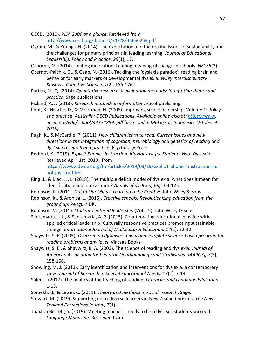OECD. (2010). *PISA 2009 at a glance*. Retrieved from <http://www.oecd.org/dataecd/31/28/46660259.pdf>

- Ogram, M., & Youngs, H. (2014). The expectation and the reality: Issues of sustainability and the challenges for primary principals in leading learning. *Journal of Educational Leadership, Policy and Practice, 29*(1), 17.
- Osborne, M. (2014). Inviting innovation: Leading meaningful change in schools. *NZCER*(2).
- Ozernov‐Palchik, O., & Gaab, N. (2016). Tackling the 'dyslexia paradox': reading brain and behavior for early markers of developmental dyslexia. *Wiley Interdisciplinary Reviews: Cognitive Science, 7*(2), 156-176.
- Patton, M. Q. (2014). *Qualitative research & evaluation methods: Integrating theory and practice*: Sage publications.
- Pickard, A. J. (2013). *Research methods in information*: Facet publishing.
- Pont, B., Nusche, D., & Moorman, H. (2008). Improving school leadership, Volume 1: Policy and practice. *Australia: OECD Publications. Available online also at: [https://www.](https://www/) oecd. org/edu/school/44374889. pdf [accessed in Makassar, Indonesia: October 9, 2016]*.
- Pugh, K., & McCardle, P. (2011). *How children learn to read: Current issues and new directions in the integration of cognition, neurobiology and genetics of reading and dyslexia research and practice*: Psychology Press.
- Redford, K. (2019). *Explicit Phonics Instruction: It's Not Just for Students With Dyslexia*. Retrieved April 1st, 2019, from

[https://www.edweek.org/tm/articles/2019/03/19/explicit-phonics-instruction-its](https://www.edweek.org/tm/articles/2019/03/19/explicit-phonics-instruction-its-not-just-for.html)[not-just-for.html](https://www.edweek.org/tm/articles/2019/03/19/explicit-phonics-instruction-its-not-just-for.html)

- Ring, J., & Black, J. L. (2018). The multiple deficit model of dyslexia: what does it mean for identification and intervention? *Annals of dyslexia, 68*, 104-125.
- Robinson, K. (2011). *Out of Our Minds: Learning to be Creative* John Wiley & Sons.
- Robinson, K., & Aronica, L. (2015). *Creative schools: Revolutionizing education from the ground up*: Penguin UK.
- Robinson, V. (2011). *Student-centered leadership* (Vol. 15): John Wiley & Sons.
- Santamaría, L. J., & Santamaría, A. P. (2015). Counteracting educational injustice with applied critical leadership: Culturally responsive practices promoting sustainable change. *International Journal of Multicultural Education, 17*(1), 22-42.
- Shaywitz, S. E. (2005). *Overcoming dyslexia: a new and complete science-based program for reading problems at any level*: Vintage Books.
- Shaywitz, S. E., & Shaywitz, B. A. (2003). The science of reading and dyslexia. *Journal of American Association for Pediatric Ophthalmology and Strabismus {JAAPOS}, 7*(3), 158-166.
- Snowling, M. J. (2013). Early identification and interventions for dyslexia: a contemporary view. *Journal of Research in Special Educational Needs, 13*(1), 7-14.
- Soler, J. (2017). The politics of the teaching of reading. *Literacies and Language Education*, 1-13.
- Somekh, B., & Lewin, C. (2011). *Theory and methods in social research*: Sage.
- Stewart, M. (2019). Supporting neurodiverse learners in New Zealand prisons. *The New Zealand Corrections Journal, 7*(1).
- Thaxton Berrett, S. (2019). Meeting teachers' needs to help dyslexic students succeed. *Language Magazine*. Retrieved from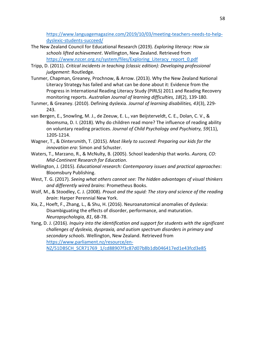[https://www.languagemagazine.com/2019/10/03/meeting-teachers-needs-to-help](https://www.languagemagazine.com/2019/10/03/meeting-teachers-needs-to-help-dyslexic-students-succeed/)[dyslexic-students-succeed/](https://www.languagemagazine.com/2019/10/03/meeting-teachers-needs-to-help-dyslexic-students-succeed/)

- The New Zealand Council for Educational Research (2019). *Exploring literacy: How six schools lifted achievement*. Wellington, New Zealand. Retrieved from [https://www.nzcer.org.nz/system/files/Exploring\\_Literacy\\_report\\_0.pdf](https://www.nzcer.org.nz/system/files/Exploring_Literacy_report_0.pdf)
- Tripp, D. (2011). *Critical incidents in teaching (classic edition): Developing professional judgement*: Routledge.
- Tunmer, Chapman, Greaney, Prochnow, & Arrow. (2013). Why the New Zealand National Literacy Strategy has failed and what can be done about it: Evidence from the Progress in International Reading Literacy Study (PIRLS) 2011 and Reading Recovery monitoring reports. *Australian Journal of learning difficulties, 18*(2), 139-180.
- Tunmer, & Greaney. (2010). Defining dyslexia. *Journal of learning disabilities, 43*(3), 229- 243.
- van Bergen, E., Snowling, M. J., de Zeeuw, E. L., van Beijsterveldt, C. E., Dolan, C. V., & Boomsma, D. I. (2018). Why do children read more? The influence of reading ability on voluntary reading practices. *Journal of Child Psychology and Psychiatry, 59*(11), 1205-1214.
- Wagner, T., & Dintersmith, T. (2015). *Most likely to succeed: Preparing our kids for the innovation era*: Simon and Schuster.
- Waters, T., Marzano, R., & McNulty, B. (2005). School leadership that works. *Aurora, CO: Mid-Continent Research for Education*.
- Wellington, J. (2015). *Educational research: Contemporary issues and practical approaches*: Bloomsbury Publishing.
- West, T. G. (2017). *Seeing what others cannot see: The hidden advantages of visual thinkers and differently wired brains*: Prometheus Books.
- Wolf, M., & Stoodley, C. J. (2008). *Proust and the squid: The story and science of the reading brain*: Harper Perennial New York.
- Xia, Z., Hoeft, F., Zhang, L., & Shu, H. (2016). Neuroanatomical anomalies of dyslexia: Disambiguating the effects of disorder, performance, and maturation. *Neuropsychologia, 81*, 68-78.
- <span id="page-64-0"></span>Yang, D. J. (2016). *Inquiry into the identification and support for students with the significant challenges of dyslexia, dyspraxia, and autism spectrum disorders in primary and secondary schools*. Wellington, New Zealand. Retrieved from [https://www.parliament.nz/resource/en-](https://www.parliament.nz/resource/en-NZ/51DBSCH_SCR71769_1/cd88907f3c87d07b8b1db046417ed1e43fcd3e85)[NZ/51DBSCH\\_SCR71769\\_1/cd88907f3c87d07b8b1db046417ed1e43fcd3e85](https://www.parliament.nz/resource/en-NZ/51DBSCH_SCR71769_1/cd88907f3c87d07b8b1db046417ed1e43fcd3e85)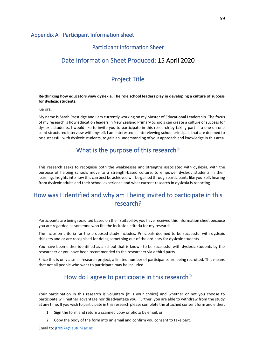#### Appendix A– Participant Information sheet

#### Participant Information Sheet

## Date Information Sheet Produced: 15 April 2020

## Project Title

#### **Re-thinking how educators view dyslexia. The role school leaders play in developing a culture of success for dyslexic students.**

Kia ora,

My name is Sarah Prestidge and I am currently working on my Master of Educational Leadership. The focus of my research is how education leaders in New Zealand Primary Schools can create a culture of success for dyslexic students. I would like to invite you to participate in this research by taking part in a one on one semi-structured interview with myself. I am interested in interviewing school principals that are deemed to be successful with dyslexic students, to gain an understanding of your approach and knowledge in this area.

# What is the purpose of this research?

This research seeks to recognise both the weaknesses and strengths associated with dyslexia, with the purpose of helping schools move to a strength-based culture, to empower dyslexic students in their learning. Insights into how this can best be achieved will be gained through participants like yourself, hearing from dyslexic adults and their school experience and what current research in dyslexia is reporting.

## How was I identified and why am I being invited to participate in this research?

Participants are being recruited based on their suitability, you have received this information sheet because you are regarded as someone who fits the inclusion criteria for my research.

The inclusion criteria for the proposed study includes: Principals deemed to be successful with dyslexic thinkers and or are recognised for doing something out of the ordinary for dyslexic students.

You have been either identified as a school that is known to be successful with dyslexic students by the researcher or you have been recommended to the researcher via a third party.

Since this is only a small research project, a limited number of participants are being recruited. This means that not all people who want to participate may be included.

# How do I agree to participate in this research?

Your participation in this research is voluntary (it is your choice) and whether or not you choose to participate will neither advantage nor disadvantage you. Further, you are able to withdraw from the study at any time. If you wish to participate in this research please complete the attached consent form and either:

- 1. Sign the form and return a scanned copy or photo by email, or
- 2. Copy the body of the form into an email and confirm you consent to take part.

Email to: [jtr0974@autuni.ac.nz](mailto:jtr0974@autuni.ac.nz)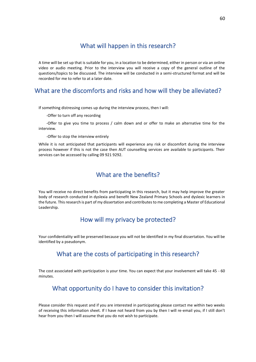## What will happen in this research?

A time will be set up that is suitable for you, in a location to be determined, either in person or via an online video or audio meeting. Prior to the interview you will receive a copy of the general outline of the questions/topics to be discussed. The interview will be conducted in a semi-structured format and will be recorded for me to refer to at a later date.

## What are the discomforts and risks and how will they be alleviated?

If something distressing comes up during the interview process, then I will:

-Offer to turn off any recording

-Offer to give you time to process / calm down and or offer to make an alternative time for the interview.

-Offer to stop the interview entirely

While it is not anticipated that participants will experience any risk or discomfort during the interview process however if this is not the case then AUT counselling services are available to participants. Their services can be accessed by calling 09 921 9292.

## What are the benefits?

You will receive no direct benefits from participating in this research, but it may help improve the greater body of research conducted in dyslexia and benefit New Zealand Primary Schools and dyslexic learners in the future. This research is part of my dissertation and contributes to me completing a Master of Educational Leadership.

# How will my privacy be protected?

Your confidentiality will be preserved because you will not be identified in my final dissertation. You will be identified by a pseudonym.

# What are the costs of participating in this research?

The cost associated with participation is your time. You can expect that your involvement will take 45 - 60 minutes.

# What opportunity do I have to consider this invitation?

Please consider this request and if you are interested in participating please contact me within two weeks of receiving this information sheet. If I have not heard from you by then I will re-email you, if I still don't hear from you then I will assume that you do not wish to participate.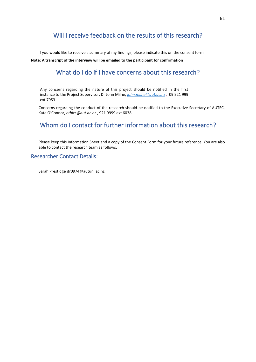# Will I receive feedback on the results of this research?

If you would like to receive a summary of my findings, please indicate this on the consent form.

#### **Note: A transcript of the interview will be emailed to the participant for confirmation**

## What do I do if I have concerns about this research?

Any concerns regarding the nature of this project should be notified in the first instance to the Project Supervisor, Dr John Milne, *[john.milne@aut.ac.nz](mailto:john.milne@aut.ac.nz) ,* 09 921 999 ext 7953

Concerns regarding the conduct of the research should be notified to the Executive Secretary of AUTEC, Kate O'Connor, *ethics@aut.ac.nz* , 921 9999 ext 6038.

## Whom do I contact for further information about this research?

Please keep this Information Sheet and a copy of the Consent Form for your future reference. You are also able to contact the research team as follows:

#### Researcher Contact Details:

Sarah Prestidge jtr0974@autuni.ac.nz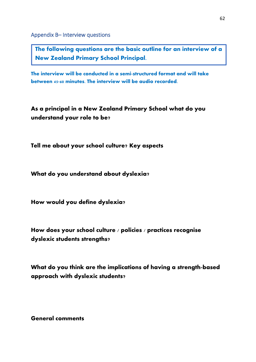Appendix B– Interview questions

The following questions are the basic outline for an interview of a New Zealand Primary School Principal.

The interview will be conducted in a semi-structured format and will take between 45-60 minutes. The interview will be audio recorded.

**As a principal in a New Zealand Primary School what do you understand your role to be?**

**Tell me about your school culture? Key aspects**

**What do you understand about dyslexia?** 

**How would you define dyslexia?**

**How does your school culture / policies / practices recognise dyslexic students strengths?**

**What do you think are the implications of having a strength-based approach with dyslexic students?**

**General comments**